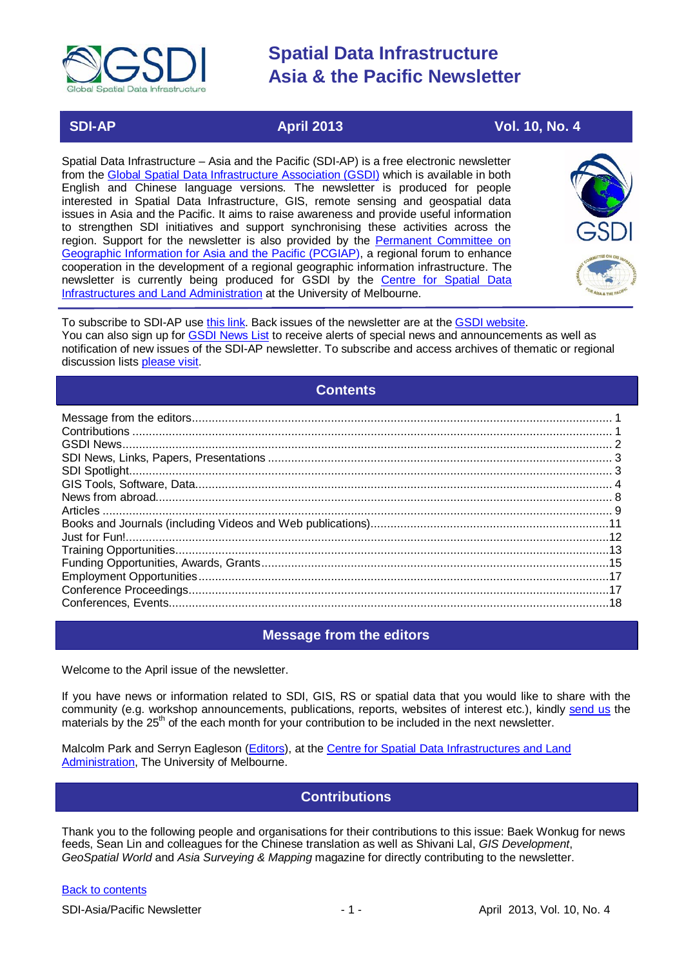

# **SDI-AP April 2013** April 2013 Vol. 10, No. 4

Spatial Data Infrastructure – Asia and the Pacific (SDI-AP) is a free electronic newsletter from the [Global Spatial Data Infrastructure Association \(GSDI\)](http://www.gsdi.org/) which is available in both English and Chinese language versions. The newsletter is produced for people interested in Spatial Data Infrastructure, GIS, remote sensing and geospatial data issues in Asia and the Pacific. It aims to raise awareness and provide useful information to strengthen SDI initiatives and support synchronising these activities across the region. Support for the newsletter is also provided by the Permanent Committee on [Geographic Information for Asia and the Pacific \(PCGIAP\)](http://www.pcgiap.org/), a regional forum to enhance cooperation in the development of a regional geographic information infrastructure. The newsletter is currently being produced for GSDI by the [Centre for Spatial Data](http://www.csdila.unimelb.edu.au/)  [Infrastructures and Land Administration](http://www.csdila.unimelb.edu.au/) at the University of Melbourne.



To subscribe to SDI-AP use [this link.](http://www.gsdi.org/newslist/gsdisubscribe.asp) Back issues of the newsletter are at the [GSDI website.](http://www.gsdi.org/newsletters.asp) You can also sign up for [GSDI News List](http://www.gsdi.org/newslist/gsdisubscribe.asp) to receive alerts of special news and announcements as well as notification of new issues of the SDI-AP newsletter. To subscribe and access archives of thematic or regional discussion lists [please visit.](http://www.gsdi.org/discussionlists.asp)

### **Contents**

<span id="page-0-0"></span>

## **Message from the editors**

<span id="page-0-1"></span>Welcome to the April issue of the newsletter.

If you have news or information related to SDI, GIS, RS or spatial data that you would like to share with the community (e.g. workshop announcements, publications, reports, websites of interest etc.), kindly [send us](mailto:.SDI-AP@gsdi.org) the materials by the 25<sup>th</sup> of the each month for your contribution to be included in the next newsletter.

<span id="page-0-2"></span>Malcolm Park and Serryn Eagleson [\(Editors\)](mailto:Editor.SDIAP@gmail.com), at the [Centre for Spatial Data Infrastructures and Land](http://www.csdila.unimelb.edu.au/)  [Administration,](http://www.csdila.unimelb.edu.au/) The University of Melbourne.

## **Contributions**

Thank you to the following people and organisations for their contributions to this issue: Baek Wonkug for news feeds, Sean Lin and colleagues for the Chinese translation as well as Shivani Lal, *GIS Development*, *GeoSpatial World* and *Asia Surveying & Mapping* magazine for directly contributing to the newsletter.

#### [Back to contents](#page-0-0)

SDI-Asia/Pacific Newsletter 1992 1 - 1 - April 2013, Vol. 10, No. 4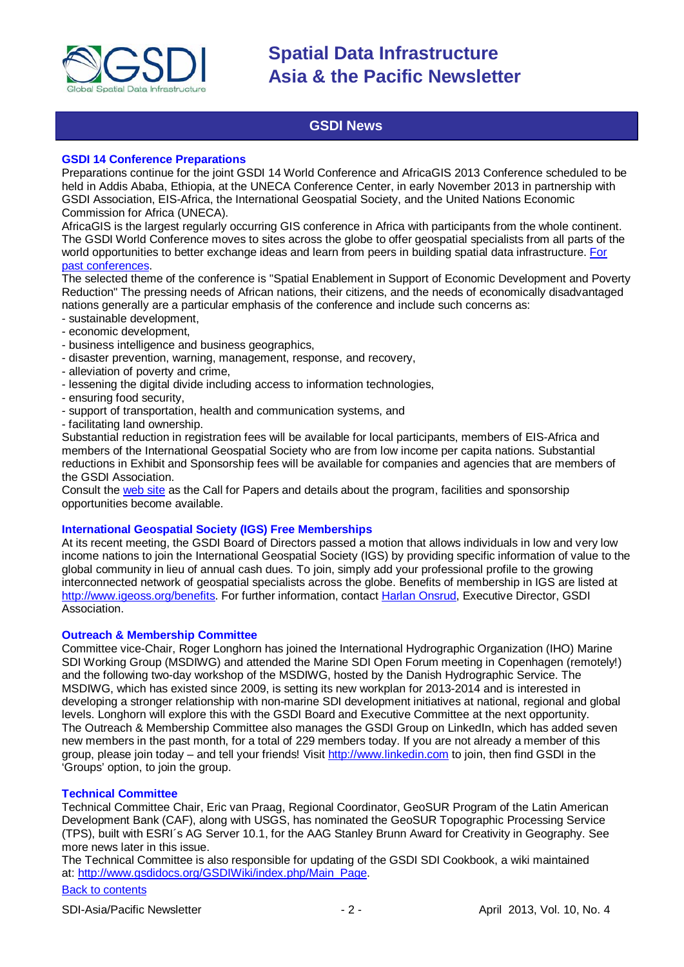

## **GSDI News**

#### <span id="page-1-0"></span>**GSDI 14 Conference Preparations**

Preparations continue for the joint GSDI 14 World Conference and AfricaGIS 2013 Conference scheduled to be held in Addis Ababa, Ethiopia, at the UNECA Conference Center, in early November 2013 in partnership with GSDI Association, EIS-Africa, the International Geospatial Society, and the United Nations Economic Commission for Africa (UNECA).

AfricaGIS is the largest regularly occurring GIS conference in Africa with participants from the whole continent. The GSDI World Conference moves to sites across the globe to offer geospatial specialists from all parts of the world opportunities to better exchange ideas and learn from peers in building spatial data infrastructure. [For](http://www.gsdi.org/gsdiConferences)  [past conferences.](http://www.gsdi.org/gsdiConferences)

The selected theme of the conference is "Spatial Enablement in Support of Economic Development and Poverty Reduction" The pressing needs of African nations, their citizens, and the needs of economically disadvantaged nations generally are a particular emphasis of the conference and include such concerns as:

- sustainable development,
- economic development,
- business intelligence and business geographics,
- disaster prevention, warning, management, response, and recovery,
- alleviation of poverty and crime,
- lessening the digital divide including access to information technologies,
- ensuring food security,
- support of transportation, health and communication systems, and
- facilitating land ownership.

Substantial reduction in registration fees will be available for local participants, members of EIS-Africa and members of the International Geospatial Society who are from low income per capita nations. Substantial reductions in Exhibit and Sponsorship fees will be available for companies and agencies that are members of the GSDI Association.

Consult the [web site](http://gsdi.org/gsdi14) as the Call for Papers and details about the program, facilities and sponsorship opportunities become available.

#### **International Geospatial Society (IGS) Free Memberships**

At its recent meeting, the GSDI Board of Directors passed a motion that allows individuals in low and very low income nations to join the International Geospatial Society (IGS) by providing specific information of value to the global community in lieu of annual cash dues. To join, simply add your professional profile to the growing interconnected network of geospatial specialists across the globe. Benefits of membership in IGS are listed at [http://www.igeoss.org/benefits.](https://owa.unimelb.edu.au/owa/redir.aspx?C=54c2b4d3973d480282dc7c38384f4204&URL=http%3a%2f%2fwww.igeoss.org%2fbenefits) For further information, contact [Harlan Onsrud,](mailto:onsrud@gsdi.org) Executive Director, GSDI Association.

#### **Outreach & Membership Committee**

Committee vice-Chair, Roger Longhorn has joined the International Hydrographic Organization (IHO) Marine SDI Working Group (MSDIWG) and attended the Marine SDI Open Forum meeting in Copenhagen (remotely!) and the following two-day workshop of the MSDIWG, hosted by the Danish Hydrographic Service. The MSDIWG, which has existed since 2009, is setting its new workplan for 2013-2014 and is interested in developing a stronger relationship with non-marine SDI development initiatives at national, regional and global levels. Longhorn will explore this with the GSDI Board and Executive Committee at the next opportunity. The Outreach & Membership Committee also manages the GSDI Group on LinkedIn, which has added seven new members in the past month, for a total of 229 members today. If you are not already a member of this group, please join today – and tell your friends! Visit [http://www.linkedin.com](https://owa.unimelb.edu.au/owa/redir.aspx?C=rDg2dzQe3UKfwin28aspI4dcf2EJ4c8IKc_jDEPg91nlCdVQBzUX28or6ioXGu07OXWheK19Jyk.&URL=http%3a%2f%2fwww.linkedin.com) to join, then find GSDI in the 'Groups' option, to join the group.

#### **Technical Committee**

Technical Committee Chair, Eric van Praag, Regional Coordinator, GeoSUR Program of the Latin American Development Bank (CAF), along with USGS, has nominated the GeoSUR Topographic Processing Service (TPS), built with ESRI´s AG Server 10.1, for the AAG Stanley Brunn Award for Creativity in Geography. See more news later in this issue.

The Technical Committee is also responsible for updating of the GSDI SDI Cookbook, a wiki maintained at: [http://www.gsdidocs.org/GSDIWiki/index.php/Main\\_Page.](https://owa.unimelb.edu.au/owa/redir.aspx?C=rDg2dzQe3UKfwin28aspI4dcf2EJ4c8IKc_jDEPg91nlCdVQBzUX28or6ioXGu07OXWheK19Jyk.&URL=http%3a%2f%2fwww.gsdidocs.org%2fGSDIWiki%2findex.php%2fMain_Page)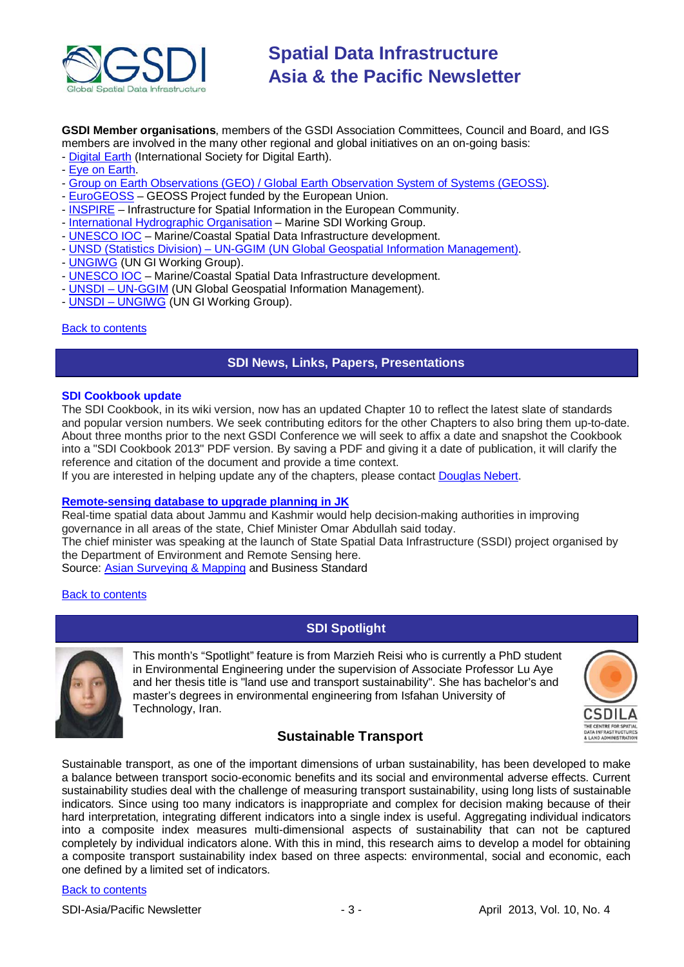

**GSDI Member organisations**, members of the GSDI Association Committees, Council and Board, and IGS members are involved in the many other regional and global initiatives on an on-going basis:

- [Digital Earth](http://www.digitalearth-isde.org/) (International Society for Digital Earth).
- [Eye on Earth.](http://www.eyeonearth.org/)
- [Group on Earth Observations \(GEO\) / Global Earth Observation System of Systems \(GEOSS\).](http://www.earthobservations.org/)
- [EuroGEOSS](http://www.eurogeoss.eu/default.aspx) GEOSS Project funded by the European Union.
- [INSPIRE](http://www.inspire.jrc.ec.europa.eu/) Infrastructure for Spatial Information in the European Community.
- [International Hydrographic Organisation](http://www.iho.int/) Marine SDI Working Group.
- [UNESCO IOC](http://www.iode.org/) Marine/Coastal Spatial Data Infrastructure development.
- UNSD (Statistics Division) [UN-GGIM \(UN Global Geospatial Information Management\).](http://www.ggim.un.org/)
- [UNGIWG](http://www.ungiwg.org/) (UN GI Working Group).
- [UNESCO IOC](http://www.iode.org/) Marine/Coastal Spatial Data Infrastructure development.
- UNSDI [UN-GGIM](http://www.ggim.un.org/) (UN Global Geospatial Information Management).
- UNSDI [UNGIWG](http://www.ungiwg.org/) (UN GI Working Group).

#### <span id="page-2-0"></span>[Back to contents](#page-0-0)

### **SDI News, Links, Papers, Presentations**

#### **SDI Cookbook update**

The SDI Cookbook, in its wiki version, now has an updated Chapter 10 to reflect the latest slate of standards and popular version numbers. We seek contributing editors for the other Chapters to also bring them up-to-date. About three months prior to the next GSDI Conference we will seek to affix a date and snapshot the Cookbook into a "SDI Cookbook 2013" PDF version. By saving a PDF and giving it a date of publication, it will clarify the reference and citation of the document and provide a time context.

If you are interested in helping update any of the chapters, please contact [Douglas Nebert.](mailto:ddnebert@usgs.gov)

#### **[Remote-sensing database to upgrade planning in JK](http://www.business-standard.com/article/pti-stories/remote-sensing-database-to-upgrade-planning-in-jk-omar-113022600419_1.html)**

Real-time spatial data about Jammu and Kashmir would help decision-making authorities in improving governance in all areas of the state, Chief Minister Omar Abdullah said today.

The chief minister was speaking at the launch of State Spatial Data Infrastructure (SSDI) project organised by the Department of Environment and Remote Sensing here.

Source: [Asian Surveying & Mapping](http://www.asmmag.com/2012-12-30-14-17-42/headlines/4866-remote-sensing-database-upgrade-planning-in-jk-omar.html) and Business Standard

#### <span id="page-2-1"></span>**[Back to contents](#page-0-0)**

## **SDI Spotlight**



This month's "Spotlight" feature is from Marzieh Reisi who is currently a PhD student in Environmental Engineering under the supervision of Associate Professor Lu Aye and her thesis title is "land use and transport sustainability". She has bachelor's and master's degrees in environmental engineering from Isfahan University of Technology, Iran.



## **Sustainable Transport**

Sustainable transport, as one of the important dimensions of urban sustainability, has been developed to make a balance between transport socio-economic benefits and its social and environmental adverse effects. Current sustainability studies deal with the challenge of measuring transport sustainability, using long lists of sustainable indicators. Since using too many indicators is inappropriate and complex for decision making because of their hard interpretation, integrating different indicators into a single index is useful. Aggregating individual indicators into a composite index measures multi-dimensional aspects of sustainability that can not be captured completely by individual indicators alone. With this in mind, this research aims to develop a model for obtaining a composite transport sustainability index based on three aspects: environmental, social and economic, each one defined by a limited set of indicators.

#### [Back to contents](#page-0-0)

SDI-Asia/Pacific Newsletter  $\sim$  3 - April 2013, Vol. 10, No. 4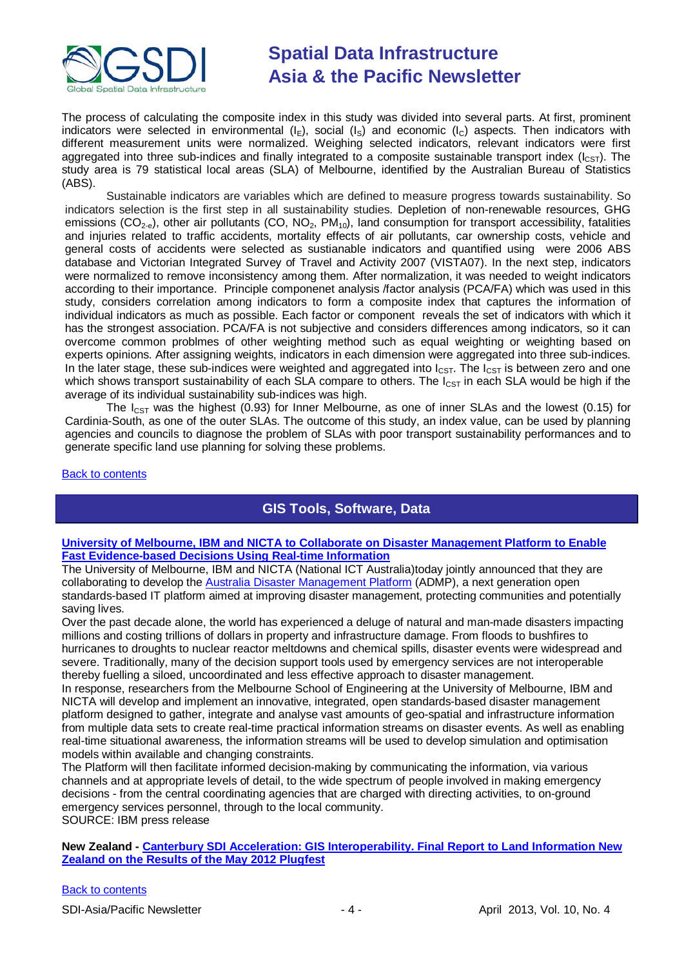

The process of calculating the composite index in this study was divided into several parts. At first, prominent indicators were selected in environmental  $(I_E)$ , social  $(I_S)$  and economic  $(I_C)$  aspects. Then indicators with different measurement units were normalized. Weighing selected indicators, relevant indicators were first aggregated into three sub-indices and finally integrated to a composite sustainable transport index  $(l_{\text{CST}})$ . The study area is 79 statistical local areas (SLA) of Melbourne, identified by the Australian Bureau of Statistics (ABS).

Sustainable indicators are variables which are defined to measure progress towards sustainability. So indicators selection is the first step in all sustainability studies. Depletion of non-renewable resources, GHG emissions (CO<sub>2-e</sub>), other air pollutants (CO, NO<sub>2</sub>, PM<sub>10</sub>), land consumption for transport accessibility, fatalities and injuries related to traffic accidents, mortality effects of air pollutants, car ownership costs, vehicle and general costs of accidents were selected as sustianable indicators and quantified using were 2006 ABS database and Victorian Integrated Survey of Travel and Activity 2007 (VISTA07). In the next step, indicators were normalized to remove inconsistency among them. After normalization, it was needed to weight indicators according to their importance. Principle componenet analysis /factor analysis (PCA/FA) which was used in this study, considers correlation among indicators to form a composite index that captures the information of individual indicators as much as possible. Each factor or component reveals the set of indicators with which it has the strongest association. PCA/FA is not subjective and considers differences among indicators, so it can overcome common problmes of other weighting method such as equal weighting or weighting based on experts opinions. After assigning weights, indicators in each dimension were aggregated into three sub-indices. In the later stage, these sub-indices were weighted and aggregated into  $I_{\text{CST}}$ . The  $I_{\text{CST}}$  is between zero and one which shows transport sustainability of each SLA compare to others. The  $I_{\text{CST}}$  in each SLA would be high if the average of its individual sustainability sub-indices was high.

The  $I_{CST}$  was the highest (0.93) for Inner Melbourne, as one of inner SLAs and the lowest (0.15) for Cardinia-South, as one of the outer SLAs. The outcome of this study, an index value, can be used by planning agencies and councils to diagnose the problem of SLAs with poor transport sustainability performances and to generate specific land use planning for solving these problems.

#### <span id="page-3-0"></span>[Back to contents](#page-0-0)

## **GIS Tools, Software, Data**

#### **[University of Melbourne, IBM and NICTA to Collaborate on Disaster Management Platform to Enable](http://www-03.ibm.com/press/au/en/pressrelease/40637.wss)  [Fast Evidence-based Decisions Using Real-time Information](http://www-03.ibm.com/press/au/en/pressrelease/40637.wss)**

The University of Melbourne, IBM and NICTA (National ICT Australia)today jointly announced that they are collaborating to develop the [Australia Disaster Management Platform](http://www.admp.org.au/) (ADMP), a next generation open standards-based IT platform aimed at improving disaster management, protecting communities and potentially saving lives.

Over the past decade alone, the world has experienced a deluge of natural and man-made disasters impacting millions and costing trillions of dollars in property and infrastructure damage. From floods to bushfires to hurricanes to droughts to nuclear reactor meltdowns and chemical spills, disaster events were widespread and severe. Traditionally, many of the decision support tools used by emergency services are not interoperable thereby fuelling a siloed, uncoordinated and less effective approach to disaster management.

In response, researchers from the Melbourne School of Engineering at the University of Melbourne, IBM and NICTA will develop and implement an innovative, integrated, open standards-based disaster management platform designed to gather, integrate and analyse vast amounts of geo-spatial and infrastructure information from multiple data sets to create real-time practical information streams on disaster events. As well as enabling real-time situational awareness, the information streams will be used to develop simulation and optimisation models within available and changing constraints.

The Platform will then facilitate informed decision-making by communicating the information, via various channels and at appropriate levels of detail, to the wide spectrum of people involved in making emergency decisions - from the central coordinating agencies that are charged with directing activities, to on-ground emergency services personnel, through to the local community. SOURCE: IBM press release

**New Zealand - [Canterbury SDI Acceleration: GIS Interoperability. Final Report to Land Information New](http://www.geospatial.govt.nz/sites/default/files/ConsultingWhere_Canterbury_GI_Interoperability_Plugfest_Report_20120716.pdf)  [Zealand on the Results of the May 2012 Plugfest](http://www.geospatial.govt.nz/sites/default/files/ConsultingWhere_Canterbury_GI_Interoperability_Plugfest_Report_20120716.pdf)**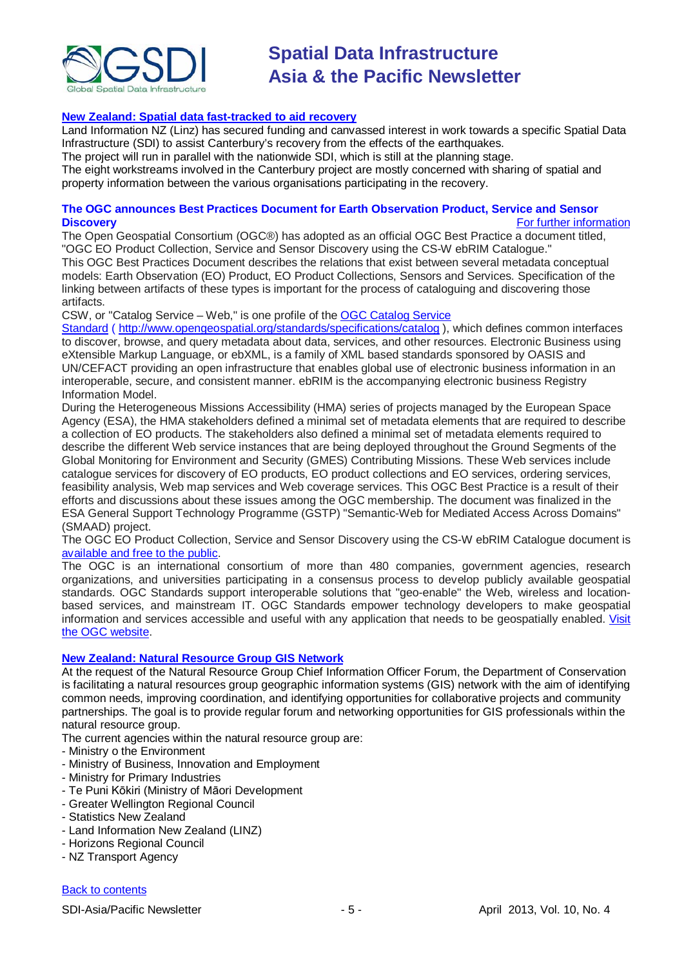

#### **[New Zealand: Spatial data fast-tracked to aid recovery](http://computerworld.co.nz/news.nsf/news/spatial-data-fast-tracked-to-aid-recovery)**

Land Information NZ (Linz) has secured funding and canvassed interest in work towards a specific Spatial Data Infrastructure (SDI) to assist Canterbury's recovery from the effects of the earthquakes.

The project will run in parallel with the nationwide SDI, which is still at the planning stage.

The eight workstreams involved in the Canterbury project are mostly concerned with sharing of spatial and property information between the various organisations participating in the recovery.

#### **The OGC announces Best Practices Document for Earth Observation Product, Service and Sensor [For further information](mailto:Contact:%20%20info@opengeospatial.org)**

The Open Geospatial Consortium (OGC®) has adopted as an official OGC Best Practice a document titled, "OGC EO Product Collection, Service and Sensor Discovery using the CS-W ebRIM Catalogue." This OGC Best Practices Document describes the relations that exist between several metadata conceptual models: Earth Observation (EO) Product, EO Product Collections, Sensors and Services. Specification of the linking between artifacts of these types is important for the process of cataloguing and discovering those artifacts.

CSW, or "Catalog Service – Web," is one profile of the OGC [Catalog Service](http://www.opengeospatial.org/standards/specifications/catalog) 

[Standard](http://www.opengeospatial.org/standards/specifications/catalog) ( <http://www.opengeospatial.org/standards/specifications/catalog> ), which defines common interfaces to discover, browse, and query metadata about data, services, and other resources. Electronic Business using eXtensible Markup Language, or ebXML, is a family of XML based standards sponsored by OASIS and UN/CEFACT providing an open infrastructure that enables global use of electronic business information in an interoperable, secure, and consistent manner. ebRIM is the accompanying electronic business Registry Information Model.

During the Heterogeneous Missions Accessibility (HMA) series of projects managed by the European Space Agency (ESA), the HMA stakeholders defined a minimal set of metadata elements that are required to describe a collection of EO products. The stakeholders also defined a minimal set of metadata elements required to describe the different Web service instances that are being deployed throughout the Ground Segments of the Global Monitoring for Environment and Security (GMES) Contributing Missions. These Web services include catalogue services for discovery of EO products, EO product collections and EO services, ordering services, feasibility analysis, Web map services and Web coverage services. This OGC Best Practice is a result of their efforts and discussions about these issues among the OGC membership. The document was finalized in the ESA General Support Technology Programme (GSTP) "Semantic-Web for Mediated Access Across Domains" (SMAAD) project.

The OGC EO Product Collection, Service and Sensor Discovery using the CS-W ebRIM Catalogue document is [available and free to the public.](http://www.opengeospatial.org/standards/bp)

The OGC is an international consortium of more than 480 companies, government agencies, research organizations, and universities participating in a consensus process to develop publicly available geospatial standards. OGC Standards support interoperable solutions that "geo-enable" the Web, wireless and locationbased services, and mainstream IT. OGC Standards empower technology developers to make geospatial information and services accessible and useful with any application that needs to be geospatially enabled. [Visit](http://www.opengeospatial.org/contact)  [the OGC website.](http://www.opengeospatial.org/contact)

#### **[New Zealand: Natural Resource Group GIS Network](http://www.doc.govt.nz/nrgis)**

At the request of the Natural Resource Group Chief Information Officer Forum, the Department of Conservation is facilitating a natural resources group geographic information systems (GIS) network with the aim of identifying common needs, improving coordination, and identifying opportunities for collaborative projects and community partnerships. The goal is to provide regular forum and networking opportunities for GIS professionals within the natural resource group.

The current agencies within the natural resource group are:

- Ministry o the Environment
- Ministry of Business, Innovation and Employment
- Ministry for Primary Industries
- Te Puni Kōkiri (Ministry of Māori Development
- Greater Wellington Regional Council
- Statistics New Zealand
- Land Information New Zealand (LINZ)
- Horizons Regional Council
- NZ Transport Agency

#### [Back to contents](#page-0-0)

SDI-Asia/Pacific Newsletter 1992 1994 1995 - 5 - April 2013, Vol. 10, No. 4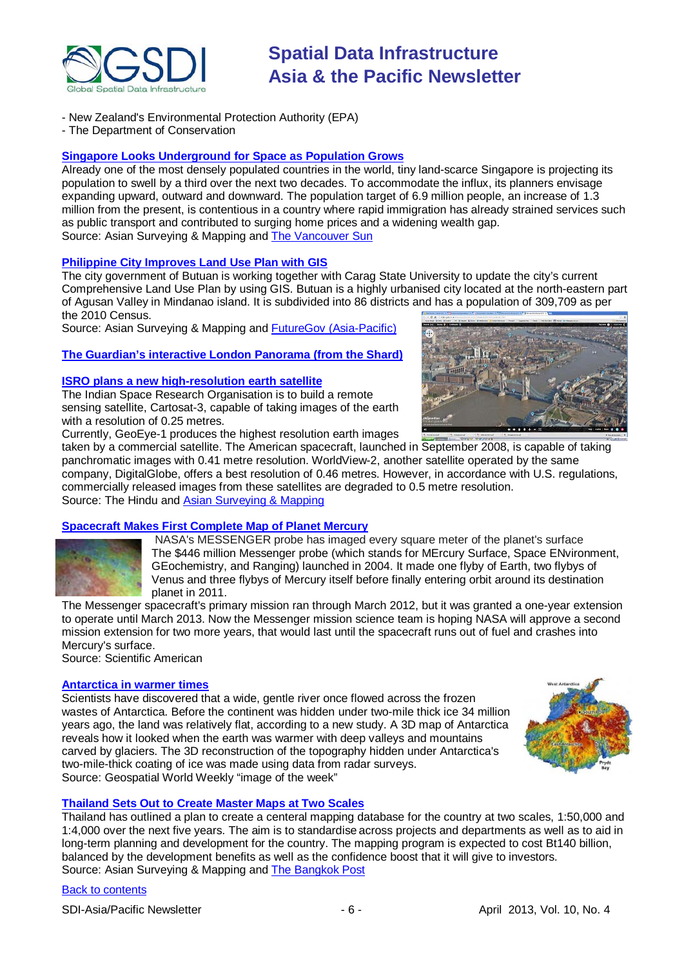

- New Zealand's Environmental Protection Authority (EPA)
- The Department of Conservation

### **[Singapore Looks Underground for Space as Population Grows](http://www.asmmag.com/2012-12-30-14-17-42/headlines/4905-singapore-looks-underground-for-space-as-population-grows.html)**

Already one of the most densely populated countries in the world, tiny land-scarce Singapore is projecting its population to swell by a third over the next two decades. To accommodate the influx, its planners envisage expanding upward, outward and downward. The population target of 6.9 million people, an increase of 1.3 million from the present, is contentious in a country where rapid immigration has already strained services such as public transport and contributed to surging home prices and a widening wealth gap. Source: Asian Surveying & Mapping and [The Vancouver Sun](http://www.vancouversun.com/business/Singapore+looks+underground+space+population+surges/8011400/story.html)

#### **[Philippine City Improves Land Use Plan with GIS](http://www.asmmag.com/2012-12-30-14-17-42/headlines/4875-philippine-city-improves-land-use-plan-with-gis.html)**

The city government of Butuan is working together with Carag State University to update the city's current Comprehensive Land Use Plan by using GIS. Butuan is a highly urbanised city located at the north-eastern part of Agusan Valley in Mindanao island. It is subdivided into 86 districts and has a population of 309,709 as per the 2010 Census.

Source: Asian Surveying & Mapping and [FutureGov \(Asia-Pacific\)](http://www.futuregov.asia/articles/2013/mar/01/philippine-city-improves-land-use-plan-gis/)

### **[The Guardian's interactive London Panorama \(from the Shard\)](http://static.guim.co.uk/interactivestore/2013/2/1/1359683910917/471154/index.html)**

#### **[ISRO plans a new high-resolution earth satellite](http://www.thehindu.com/sci-tech/science/isro-plans-a-new-highresolution-earth-satellite/article4482404.ece)**

The Indian Space Research Organisation is to build a remote sensing satellite, Cartosat-3, capable of taking images of the earth with a resolution of 0.25 metres.

Currently, GeoEye-1 produces the highest resolution earth images taken by a commercial satellite. The American spacecraft, launched in September 2008, is capable of taking panchromatic images with 0.41 metre resolution. WorldView-2, another satellite operated by the same company, DigitalGlobe, offers a best resolution of 0.46 metres. However, in accordance with U.S. regulations, commercially released images from these satellites are degraded to 0.5 metre resolution. Source: The Hindu and [Asian Surveying & Mapping](http://www.asmmag.com/2012-12-30-14-17-42/headlines/4900-isro-plans-a-new-high-resolution-earth-observation-satellite.html)

#### **[Spacecraft Makes First Complete Map of Planet Mercury](http://www.scientificamerican.com/article.cfm?id=spacecraft-makes-first-map&WT.mc_id=SA_DD_20130307)**

NASA's MESSENGER probe has imaged every square meter of the planet's surface The \$446 million Messenger probe (which stands for MErcury Surface, Space ENvironment, GEochemistry, and Ranging) launched in 2004. It made one flyby of Earth, two flybys of Venus and three flybys of [Mercury](http://www.space.com/36-mercury-the-suns-closest-planetary-neighbor.html) itself before finally entering orbit around its destination planet in 2011.

The Messenger spacecraft's primary mission ran through March 2012, but it was granted a one-year extension to operate until March 2013. Now the Messenger mission science team is hoping NASA will approve a second mission extension for two more years, that would last until the spacecraft runs out of fuel and crashes into Mercury's surface.

Source: Scientific American

#### **[Antarctica in warmer times](http://www.geospatialworld.net/ImageoftheWeek/view.aspx?id=123)**

Scientists have discovered that a wide, gentle river once flowed across the frozen wastes of Antarctica. Before the continent was hidden under two-mile thick ice 34 million years ago, the land was relatively flat, according to a new study. A 3D map of Antarctica reveals how it looked when the earth was warmer with deep valleys and mountains carved by glaciers. The 3D reconstruction of the topography hidden under Antarctica's two-mile-thick coating of ice was made using data from radar surveys. Source: Geospatial World Weekly "image of the week"



#### **[Thailand Sets Out to Create Master Maps at Two Scales](http://www.asmmag.com/2012-12-30-14-40-18/feature/4933-thailand-sets-out-to-develop-a-standard-map-database-for-the-country.html)**

Thailand has outlined a plan to create a centeral mapping database for the country at two scales, 1:50,000 and 1:4,000 over the next five years. The aim is to standardise across projects and departments as well as to aid in long-term planning and development for the country. The mapping program is expected to cost Bt140 billion, balanced by the development benefits as well as the confidence boost that it will give to investors. Source: Asian Surveying & Mapping and [The Bangkok Post](http://www.bangkokpost.com/breakingnews/339900/plodprasop-wants-master-map-of-thailand)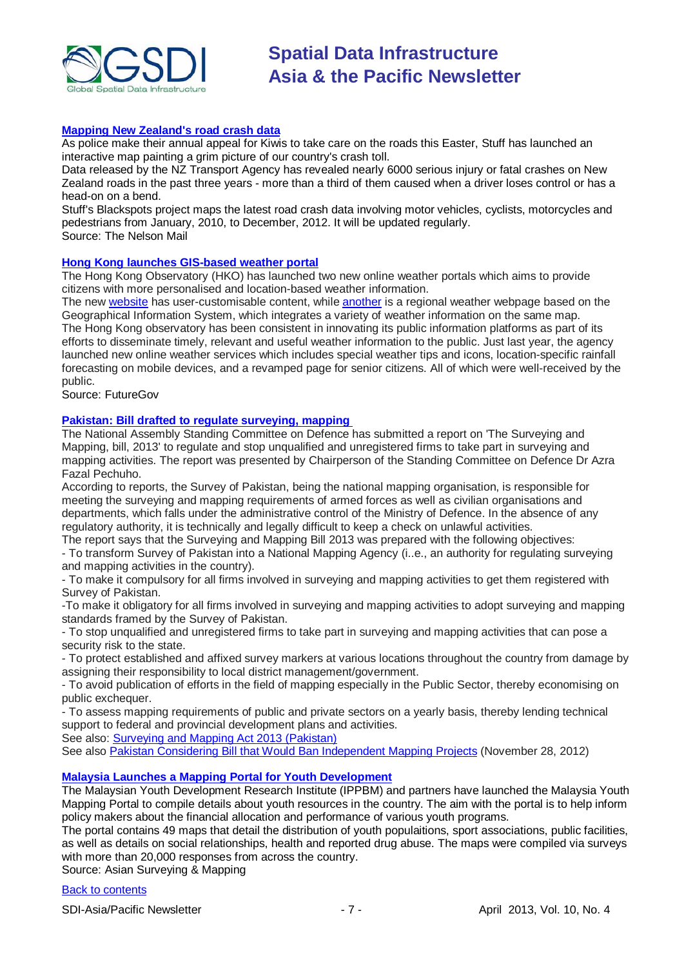

#### **[Mapping New Zealand's road crash data](http://www.stuff.co.nz/nelson-mail/news/8478193/Mapping-New-Zealands-road-crash-data)**

As police make their annual appeal for Kiwis to take care on the roads this Easter, Stuff has launched an interactive map painting a grim picture of our country's crash toll.

Data released by the NZ Transport Agency has revealed nearly 6000 serious injury or fatal crashes on New Zealand roads in the past three years - more than a third of them caused when a driver loses control or has a head-on on a bend.

Stuff's Blackspots project maps the latest road crash data involving motor vehicles, cyclists, motorcycles and pedestrians from January, 2010, to December, 2012. It will be updated regularly. Source: The Nelson Mail

### **[Hong Kong launches GIS-based weather portal](http://www.futuregov.asia/articles/2013/mar/20/hong-kong-launches-gis-based-weather-portal/)**

The Hong Kong Observatory (HKO) has launched two new online weather portals which aims to provide citizens with more personalised and location-based weather information.

The new [website](http://my.weather.gov.hk/) has user-customisable content, while [another](http://maps.weather.gov.hk/) is a regional weather webpage based on the Geographical Information System, which integrates a variety of weather information on the same map. The Hong Kong observatory has been consistent in innovating its public information platforms as part of its efforts to disseminate timely, relevant and useful weather information to the public. Just last year, the agency launched new online weather services which includes special weather tips and icons, location-specific rainfall forecasting on mobile devices, and a revamped page for senior citizens. All of which were well-received by the public.

Source: FutureGov

#### **[Pakistan: Bill drafted to regulate surveying, mapping](http://www.brecorder.com/general-news/172/1161220/)**

The National Assembly Standing Committee on Defence has submitted a report on 'The Surveying and Mapping, bill, 2013' to regulate and stop unqualified and unregistered firms to take part in surveying and mapping activities. The report was presented by Chairperson of the Standing Committee on Defence Dr Azra Fazal Pechuho.

According to reports, the Survey of Pakistan, being the national mapping organisation, is responsible for meeting the surveying and mapping requirements of armed forces as well as civilian organisations and departments, which falls under the administrative control of the Ministry of Defence. In the absence of any regulatory authority, it is technically and legally difficult to keep a check on unlawful activities.

The report says that the Surveying and Mapping Bill 2013 was prepared with the following objectives: - To transform Survey of Pakistan into a National Mapping Agency (i..e., an authority for regulating surveying and mapping activities in the country).

- To make it compulsory for all firms involved in surveying and mapping activities to get them registered with Survey of Pakistan.

-To make it obligatory for all firms involved in surveying and mapping activities to adopt surveying and mapping standards framed by the Survey of Pakistan.

- To stop unqualified and unregistered firms to take part in surveying and mapping activities that can pose a security risk to the state.

- To protect established and affixed survey markers at various locations throughout the country from damage by assigning their responsibility to local district management/government.

- To avoid publication of efforts in the field of mapping especially in the Public Sector, thereby economising on public exchequer.

- To assess mapping requirements of public and private sectors on a yearly basis, thereby lending technical support to federal and provincial development plans and activities.

See also: [Surveying and Mapping Act 2013 \(Pakistan\)](http://www.na.gov.pk/uploads/documents/1362570112_530.pdf)

See also [Pakistan Considering Bill that Would Ban Independent Mapping Projects](http://techpresident.com/news/wegov/23188/pakistan-considering-bill-would-ban-independent-mapping-projects) (November 28, 2012)

#### **[Malaysia Launches a Mapping Portal for Youth Development](http://www.asmmag.com/2012-12-30-14-40-18/feature/4997-malaysia-launches-a-mapping-portal-for-youth-development.html)**

The Malaysian Youth Development Research Institute (IPPBM) and partners have launched the Malaysia Youth Mapping Portal to compile details about youth resources in the country. The aim with the portal is to help inform policy makers about the financial allocation and performance of various youth programs.

The portal contains 49 maps that detail the distribution of youth populaitions, sport associations, public facilities, as well as details on social relationships, health and reported drug abuse. The maps were compiled via surveys with more than 20,000 responses from across the country.

Source: Asian Surveying & Mapping

[Back to contents](#page-0-0)

SDI-Asia/Pacific Newsletter  $\begin{array}{ccc} -7 - & -7 - & \end{array}$  April 2013, Vol. 10, No. 4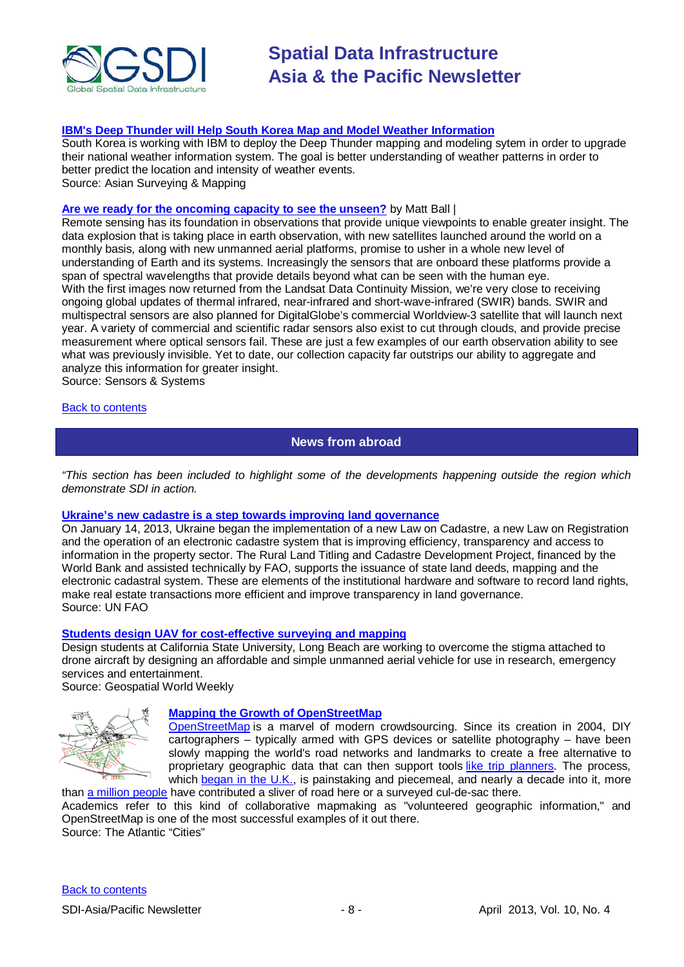

#### **[IBM's Deep Thunder will Help South Korea Map and Model Weather Information](http://www.asmmag.com/2012-12-30-14-40-18/feature/4989-ibm-s-deep-thunder-will-help-south-korea-map-and-model-weather-information.html)**

South Korea is working with IBM to deploy the Deep Thunder mapping and modeling sytem in order to upgrade their national weather information system. The goal is better understanding of weather patterns in order to better predict the location and intensity of weather events. Source: Asian Surveying & Mapping

**[Are we ready for the oncoming capacity to see the unseen?](http://www.sensorsandsystems.com/dialog/perspectives/29852-are-we-ready-for-the-oncoming-capacity-to-see-the-unseen.html)** by Matt Ball |

Remote sensing has its foundation in observations that provide unique viewpoints to enable greater insight. The data explosion that is taking place in earth observation, with new satellites launched around the world on a monthly basis, along with new unmanned aerial platforms, promise to usher in a whole new level of understanding of Earth and its systems. Increasingly the sensors that are onboard these platforms provide a span of spectral wavelengths that provide details beyond what can be seen with the human eye. With the first images now returned from the Landsat Data Continuity Mission, we're very close to receiving ongoing global updates of thermal infrared, near-infrared and short-wave-infrared (SWIR) bands. SWIR and multispectral sensors are also planned for DigitalGlobe's commercial Worldview-3 satellite that will launch next year. A variety of commercial and scientific radar sensors also exist to cut through clouds, and provide precise measurement where optical sensors fail. These are just a few examples of our earth observation ability to see what was previously invisible. Yet to date, our collection capacity far outstrips our ability to aggregate and analyze this information for greater insight.

Source: Sensors & Systems

#### <span id="page-7-0"></span>[Back to contents](#page-0-0)

**News from abroad**

*"This section has been included to highlight some of the developments happening outside the region which demonstrate SDI in action.*

#### **[Ukraine's new cadastre is a step towards improving land governance](http://www.fao.org/investment/newsandmeetings/news/detail/en/c/171173/)**

On January 14, 2013, Ukraine began the implementation of a new Law on Cadastre, a new Law on Registration and the operation of an electronic cadastre system that is improving efficiency, transparency and access to information in the property sector. The Rural Land Titling and Cadastre Development Project, financed by the World Bank and assisted technically by FAO, supports the issuance of state land deeds, mapping and the electronic cadastral system. These are elements of the institutional hardware and software to record land rights, make real estate transactions more efficient and improve transparency in land governance. Source: UN FAO

#### **[Students design UAV for cost-effective surveying and mapping](http://www.geospatialworld.net/News/View.aspx?id=26474_Article)**

Design students at California State University, Long Beach are working to overcome the stigma attached to drone aircraft by designing an affordable and simple unmanned aerial vehicle for use in research, emergency services and entertainment.

Source: Geospatial World Weekly



### **[Mapping the Growth of OpenStreetMap](http://www.theatlanticcities.com/commute/2013/03/mapping-growth-openstreetmap/4982/)**

[OpenStreetMap](http://www.openstreetmap.org/) is a marvel of modern crowdsourcing. Since its creation in 2004, DIY cartographers – typically armed with GPS devices or satellite photography – have been slowly mapping the world's road networks and landmarks to create a free alternative to proprietary geographic data that can then support tools [like trip planners.](http://opentripplanner.com/) The process, which [began in the U.K.,](http://wiki.openstreetmap.org/wiki/History_of_OpenStreetMap) is painstaking and piecemeal, and nearly a decade into it, more than [a million people](http://wiki.openstreetmap.org/wiki/Contributors) have contributed a sliver of road here or a surveyed cul-de-sac there.

Academics refer to this kind of collaborative mapmaking as "volunteered geographic information," and OpenStreetMap is one of the most successful examples of it out there. Source: The Atlantic "Cities"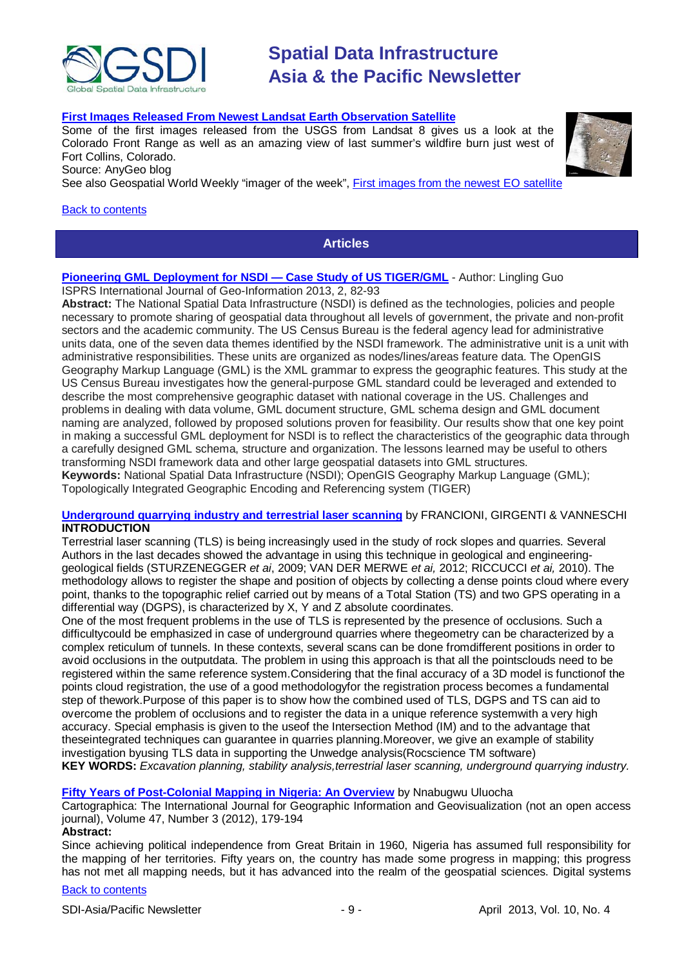

#### **[First Images Released From Newest Landsat Earth Observation Satellite](http://blog.gisuser.com/2013/03/25/first-images-released-from-newest-landsat-earth-observation-satellite/)**

Some of the first images released from the USGS from Landsat 8 gives us a look at the Colorado Front Range as well as an amazing view of last summer's wildfire burn just west of Fort Collins, Colorado.

Source: AnyGeo blog

See also Geospatial World Weekly "imager of the week", [First images from the newest EO satellite](http://www.geospatialworld.net/ImageoftheWeek/view.aspx?id=125)

#### <span id="page-8-0"></span>[Back to contents](#page-0-0)

### **Articles**

#### **[Pioneering GML Deployment for NSDI —](https://www.mdpi.com/2220-9964/2/1/82/pdf) Case Study of US TIGER/GML** - Author: Lingling Guo ISPRS International Journal of Geo-Information 2013, 2, 82-93

**Abstract:** The National Spatial Data Infrastructure (NSDI) is defined as the technologies, policies and people necessary to promote sharing of geospatial data throughout all levels of government, the private and non-profit sectors and the academic community. The US Census Bureau is the federal agency lead for administrative units data, one of the seven data themes identified by the NSDI framework. The administrative unit is a unit with administrative responsibilities. These units are organized as nodes/lines/areas feature data. The OpenGIS Geography Markup Language (GML) is the XML grammar to express the geographic features. This study at the US Census Bureau investigates how the general-purpose GML standard could be leveraged and extended to describe the most comprehensive geographic dataset with national coverage in the US. Challenges and problems in dealing with data volume, GML document structure, GML schema design and GML document naming are analyzed, followed by proposed solutions proven for feasibility. Our results show that one key point in making a successful GML deployment for NSDI is to reflect the characteristics of the geographic data through a carefully designed GML schema, structure and organization. The lessons learned may be useful to others transforming NSDI framework data and other large geospatial datasets into GML structures. **Keywords:** National Spatial Data Infrastructure (NSDI); OpenGIS Geography Markup Language (GML); Topologically Integrated Geographic Encoding and Referencing system (TIGER)

#### **[Underground quarrying industry and terrestrial laser scanning](http://www.academia.edu/2790289/Underground_quarrying_industry_and_terrestrial_laser_scanning)** by FRANCIONI, GIRGENTI & VANNESCHI **INTRODUCTION**

Terrestrial laser scanning (TLS) is being increasingly used in the study of rock slopes and quarries. Several Authors in the last decades showed the advantage in using this technique in geological and engineeringgeological fields (STURZENEGGER *et ai*, 2009; VAN DER MERWE *et ai,* 2012; RICCUCCI *et ai,* 2010). The methodology allows to register the shape and position of objects by collecting a dense points cloud where every point, thanks to the topographic relief carried out by means of a Total Station (TS) and two GPS operating in a differential way (DGPS), is characterized by X, Y and Z absolute coordinates.

One of the most frequent problems in the use of TLS is represented by the presence of occlusions. Such a difficultycould be emphasized in case of underground quarries where thegeometry can be characterized by a complex reticulum of tunnels. In these contexts, several scans can be done fromdifferent positions in order to avoid occlusions in the outputdata. The problem in using this approach is that all the pointsclouds need to be registered within the same reference system.Considering that the final accuracy of a 3D model is functionof the points cloud registration, the use of a good methodologyfor the registration process becomes a fundamental step of thework.Purpose of this paper is to show how the combined used of TLS, DGPS and TS can aid to overcome the problem of occlusions and to register the data in a unique reference systemwith a very high accuracy. Special emphasis is given to the useof the Intersection Method (IM) and to the advantage that theseintegrated techniques can guarantee in quarries planning.Moreover, we give an example of stability investigation byusing TLS data in supporting the Unwedge analysis(Rocscience TM software) **KEY WORDS:** *Excavation planning, stability analysis,terrestrial laser scanning, underground quarrying industry.*

#### **[Fifty Years of Post-Colonial Mapping in Nigeria: An Overview](http://utpjournals.metapress.com/content/fx121075uv64u26w/)** by Nnabugwu Uluocha

Cartographica: The International Journal for Geographic Information and Geovisualization (not an open access journal), Volume 47, Number 3 (2012), 179-194

#### **Abstract:**

Since achieving political independence from Great Britain in 1960, Nigeria has assumed full responsibility for the mapping of her territories. Fifty years on, the country has made some progress in mapping; this progress has not met all mapping needs, but it has advanced into the realm of the geospatial sciences. Digital systems

#### [Back to contents](#page-0-0)

SDI-Asia/Pacific Newsletter 1999 - 9 - 1999 - April 2013, Vol. 10, No. 4



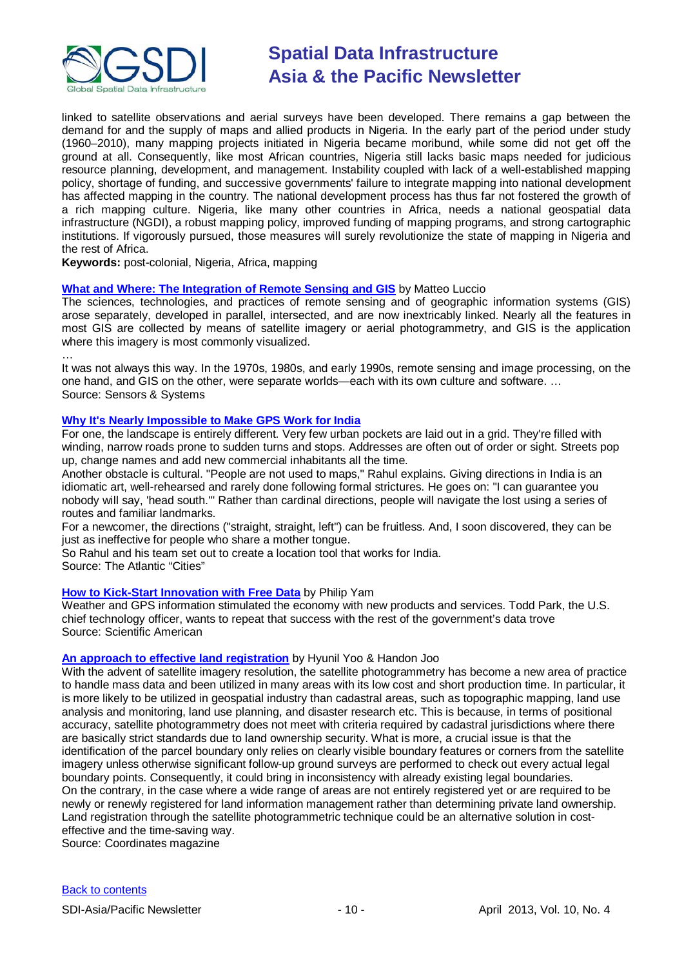

linked to satellite observations and aerial surveys have been developed. There remains a gap between the demand for and the supply of maps and allied products in Nigeria. In the early part of the period under study (1960–2010), many mapping projects initiated in Nigeria became moribund, while some did not get off the ground at all. Consequently, like most African countries, Nigeria still lacks basic maps needed for judicious resource planning, development, and management. Instability coupled with lack of a well-established mapping policy, shortage of funding, and successive governments' failure to integrate mapping into national development has affected mapping in the country. The national development process has thus far not fostered the growth of a rich mapping culture. Nigeria, like many other countries in Africa, needs a national geospatial data infrastructure (NGDI), a robust mapping policy, improved funding of mapping programs, and strong cartographic institutions. If vigorously pursued, those measures will surely revolutionize the state of mapping in Nigeria and the rest of Africa.

**Keywords:** post-colonial, Nigeria, Africa, mapping

#### **[What and Where: The Integration of Remote Sensing and GIS](http://www.sensorsandsystems.com/article/features/29580-what-and-where-the-integration-of-remote-sensing-and-gis.html)** by Matteo Luccio

The sciences, technologies, and practices of remote sensing and of geographic information systems (GIS) arose separately, developed in parallel, intersected, and are now inextricably linked. Nearly all the features in most GIS are collected by means of satellite imagery or aerial photogrammetry, and GIS is the application where this imagery is most commonly visualized.

…

It was not always this way. In the 1970s, 1980s, and early 1990s, remote sensing and image processing, on the one hand, and GIS on the other, were separate worlds—each with its own culture and software. … Source: Sensors & Systems

#### **[Why It's Nearly Impossible to Make GPS Work for India](http://www.theatlanticcities.com/technology/2013/03/why-its-nearly-impossible-make-gps-work-india/4934/)**

For one, the landscape is entirely different. Very few urban pockets are laid out in a grid. They're filled with winding, narrow roads prone to sudden turns and stops. Addresses are often out of order or sight. Streets pop up, change names and add new commercial inhabitants all the time.

Another obstacle is cultural. "People are not used to maps," Rahul explains. Giving directions in India is an idiomatic art, well-rehearsed and rarely done following formal strictures. He goes on: "I can guarantee you nobody will say, 'head south.'" Rather than cardinal directions, people will navigate the lost using a series of routes and familiar landmarks.

For a newcomer, the directions ("straight, straight, left") can be fruitless. And, I soon discovered, they can be just as ineffective for people who share a mother tongue.

So Rahul and his team set out to create a location tool that works for India.

Source: The Atlantic "Cities"

#### **[How to Kick-Start Innovation with Free Data](http://www.scientificamerican.com/article.cfm?id=how-to-kick-start-innovaton&WT.mc_id=SA_DD_20130325)** by Philip Yam

Weather and GPS information stimulated the economy with new products and services. Todd Park, the U.S. chief technology officer, wants to repeat that success with the rest of the government's data trove Source: Scientific American

#### **[An approach to effective land registration](http://mycoordinates.org/an-approach-to-effective-land-registration/)** by [Hyunil Yoo](http://mycoordinates.org/tag/hyunil-yoo/) & [Handon Joo](http://mycoordinates.org/tag/handon-joo/)

With the advent of satellite imagery resolution, the satellite photogrammetry has become a new area of practice to handle mass data and been utilized in many areas with its low cost and short production time. In particular, it is more likely to be utilized in geospatial industry than cadastral areas, such as topographic mapping, land use analysis and monitoring, land use planning, and disaster research etc. This is because, in terms of positional accuracy, satellite photogrammetry does not meet with criteria required by cadastral jurisdictions where there are basically strict standards due to land ownership security. What is more, a crucial issue is that the identification of the parcel boundary only relies on clearly visible boundary features or corners from the satellite imagery unless otherwise significant follow-up ground surveys are performed to check out every actual legal boundary points. Consequently, it could bring in inconsistency with already existing legal boundaries. On the contrary, in the case where a wide range of areas are not entirely registered yet or are required to be newly or renewly registered for land information management rather than determining private land ownership. Land registration through the satellite photogrammetric technique could be an alternative solution in costeffective and the time-saving way.

Source: Coordinates magazine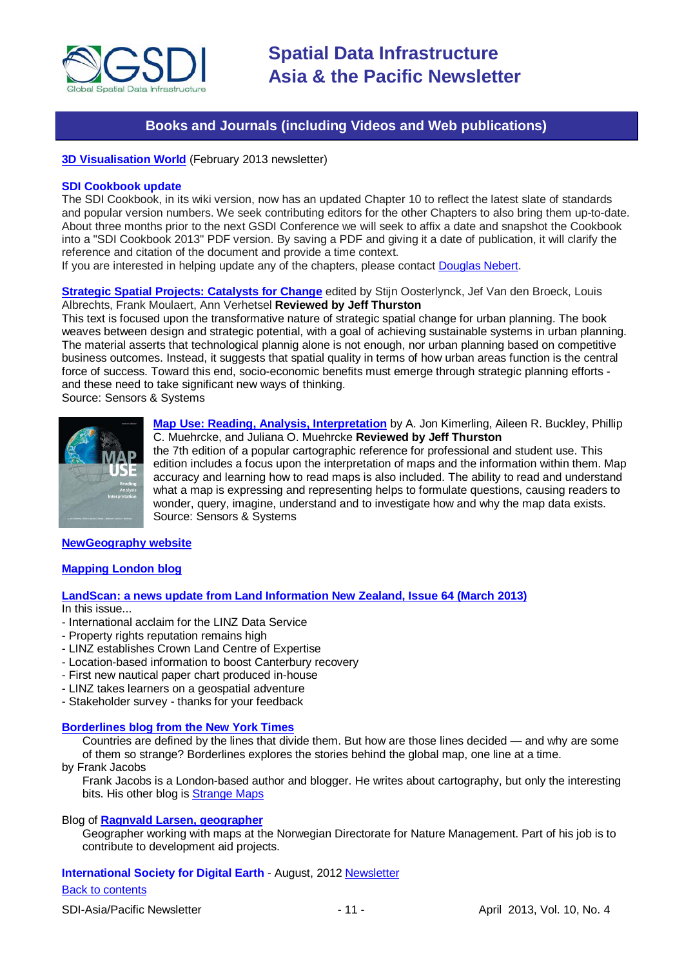

## **Books and Journals (including Videos and Web publications)**

<span id="page-10-0"></span>**[3D Visualisation World](http://visitor.benchmarkemail.com/c/v?e=27708A&c=27A3B&l=42E79F4&email=20i0rPjCDuEQfH2i1glrmJemkgBQcCdv&relid=4C4A98BD)** (February 2013 newsletter)

#### **SDI Cookbook update**

The SDI Cookbook, in its wiki version, now has an updated Chapter 10 to reflect the latest slate of standards and popular version numbers. We seek contributing editors for the other Chapters to also bring them up-to-date. About three months prior to the next GSDI Conference we will seek to affix a date and snapshot the Cookbook into a "SDI Cookbook 2013" PDF version. By saving a PDF and giving it a date of publication, it will clarify the reference and citation of the document and provide a time context.

If you are interested in helping update any of the chapters, please contact [Douglas Nebert.](mailto:ddnebert@usgs.gov)

**[Strategic Spatial Projects: Catalysts for Change](http://www.sensorsandsystems.com/article/reviews/25642-strategic-spatial-projects-catalysts-for-change.html)** edited by Stijn Oosterlynck, Jef Van den Broeck, Louis Albrechts, Frank Moulaert, Ann Verhetsel **Reviewed by Jeff Thurston**

This text is focused upon the transformative nature of strategic spatial change for urban planning. The book weaves between design and strategic potential, with a goal of achieving sustainable systems in urban planning. The material asserts that technological plannig alone is not enough, nor urban planning based on competitive business outcomes. Instead, it suggests that spatial quality in terms of how urban areas function is the central force of success. Toward this end, socio-economic benefits must emerge through strategic planning efforts and these need to take significant new ways of thinking. Source: Sensors & Systems

**[Map Use: Reading, Analysis, Interpretation](http://www.sensorsandsystems.com/article/reviews/25352-map-use-reading-analysis-interpretation.html)** by A. Jon Kimerling, Aileen R. Buckley, Phillip C. Muehrcke, and Juliana O. Muehrcke **Reviewed by Jeff Thurston**

the 7th edition of a popular cartographic reference for professional and student use. This edition includes a focus upon the interpretation of maps and the information within them. Map accuracy and learning how to read maps is also included. The ability to read and understand what a map is expressing and representing helps to formulate questions, causing readers to wonder, query, imagine, understand and to investigate how and why the map data exists. Source: Sensors & Systems

#### **[NewGeography website](http://www.newgeography.com/)**

#### **[Mapping London blog](http://mappinglondon.co.uk/)**

#### **[LandScan: a news update from Land Information New Zealand, Issue 64 \(March 2013\)](http://www.linz.govt.nz/sites/default/files/docs/supporting-info/about-linz/publications/landscan-201303.pdf)**

In this issue...

- International acclaim for the LINZ Data Service
- Property rights reputation remains high
- LINZ establishes Crown Land Centre of Expertise
- Location-based information to boost Canterbury recovery
- First new nautical paper chart produced in-house
- LINZ takes learners on a geospatial adventure
- Stakeholder survey thanks for your feedback

#### **[Borderlines blog from the New York Times](http://opinionator.blogs.nytimes.com/category/borderlines/)**

Countries are defined by the lines that divide them. But how are those lines decided — and why are some of them so strange? Borderlines explores the stories behind the global map, one line at a time.

by Frank Jacobs

Frank Jacobs is a London-based author and blogger. He writes about cartography, but only the interesting bits. His other blog is [Strange Maps](http://bigthink.com/blogs/strange-maps)

#### Blog of **[Ragnvald Larsen, geographer](http://www.mindland.com/wp/)**

Geographer working with maps at the Norwegian Directorate for Nature Management. Part of his job is to contribute to development aid projects.

#### **International Society for Digital Earth - August, 2012 [Newsletter](http://www.digitalearth-isde.org/news/isde-newsletter(201208).html)**

#### [Back to contents](#page-0-0)

SDI-Asia/Pacific Newsletter 1992 - 11 - 11 - April 2013, Vol. 10, No. 4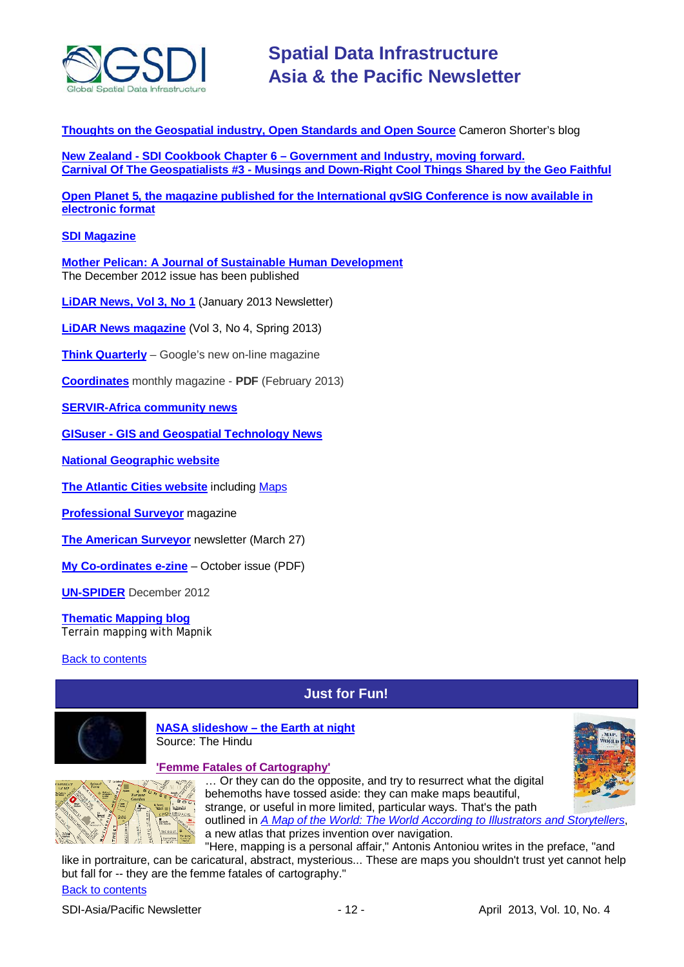

**[Thoughts on the Geospatial industry, Open Standards and Open Source](http://cameronshorter.blogspot.com/2011/06/memoirs-of-cat-herder-coordinating.html)** Cameron Shorter's blog

**New Zealand - SDI Cookbook Chapter 6 – [Government and Industry, moving forward.](http://www.geospatial.govt.nz/sdi-cookbook-chapter-6-government-and-industry-moving-forward) Carnival Of The Geospatialists #3 - [Musings and Down-Right Cool Things Shared by the Geo Faithful](http://www.gisuser.com/content/view/25690/28/)**

**Open Planet 5, the magazine published for the International gvSIG Conference is now available in [electronic format](http://jornadas.gvsig.org/descargas/magazine)**

#### **[SDI Magazine](http://www.sdimag.com/)**

**[Mother Pelican: A Journal of Sustainable Human Development](http://www.pelicanweb.org/solisustv08n12page1.html)** The December 2012 issue has been published

**[LiDAR News, Vol 3, No 1](http://www.lidarnews.com/newsletter/Vol3No1.htm)** (January 2013 Newsletter)

**[LiDAR News magazine](http://www.lidarnews.com/newsletter/Vol3No4.htm)** (Vol 3, No 4, Spring 2013)

**[Think Quarterly](http://thinkquarterly.co.uk/#aboutthebook)** – Google's new on-line magazine

**[Coordinates](http://mycoordinates.org/pdf/feb13.pdf)** monthly magazine - **PDF** (February 2013)

**[SERVIR-Africa community news](http://www.servirglobal.net/africa/en/News/CommunityNews.aspx)**

**GISuser - [GIS and Geospatial Technology News](http://www.gisuser.com/)**

**[National Geographic](http://www.nationalgeographic.com/) website**

**[The Atlantic Cities website](http://www.theatlanticcities.com/)** including [Maps](http://www.theatlanticcities.com/posts/map/)

**[Professional Surveyor](http://www.profsurv.com/)** magazine

**[The American Surveyor](http://www.amerisurv.com/newsletter/27MAR2013.htm)** newsletter (March 27)

**[My Co-ordinates e-zine](http://mycoordinates.org/pdf/oct12.pdf)** – October issue (PDF)

**[UN-SPIDER](http://www.un-spider.org/about/updates/un-spider-updates-december-2012)** December 2012

**[Thematic Mapping blog](http://blog.thematicmapping.org/)** Terrain mapping with Mapnik

<span id="page-11-0"></span>**[Back to contents](#page-0-0)** 

# **Just for Fun!**



**NASA slideshow – [the Earth at night](http://www.thehindu.com/sci-tech/science/earth-at-night/article4170904.ece?ref=slideshow#im-image-5)** Source: The Hindu

#### **['Femme Fatales of Cartography'](http://www.theatlanticcities.com/design/2013/03/femme-fatales-cartography/4987/)**



... Or they can do the opposite, and try to resurrect what the digital behemoths have tossed aside: they can make maps beautiful,

strange, or useful in more limited, particular ways. That's the path outlined in *[A Map of the World: The World According to Illustrators and Storytellers](http://www.amazon.com/Map-World-According-Illustrators-Storytellers/dp/3899554698)*, a new atlas that prizes invention over navigation.

"Here, mapping is a personal affair," Antonis Antoniou writes in the preface, "and like in portraiture, can be caricatural, abstract, mysterious... These are maps you shouldn't trust yet cannot help but fall for -- they are the femme fatales of cartography."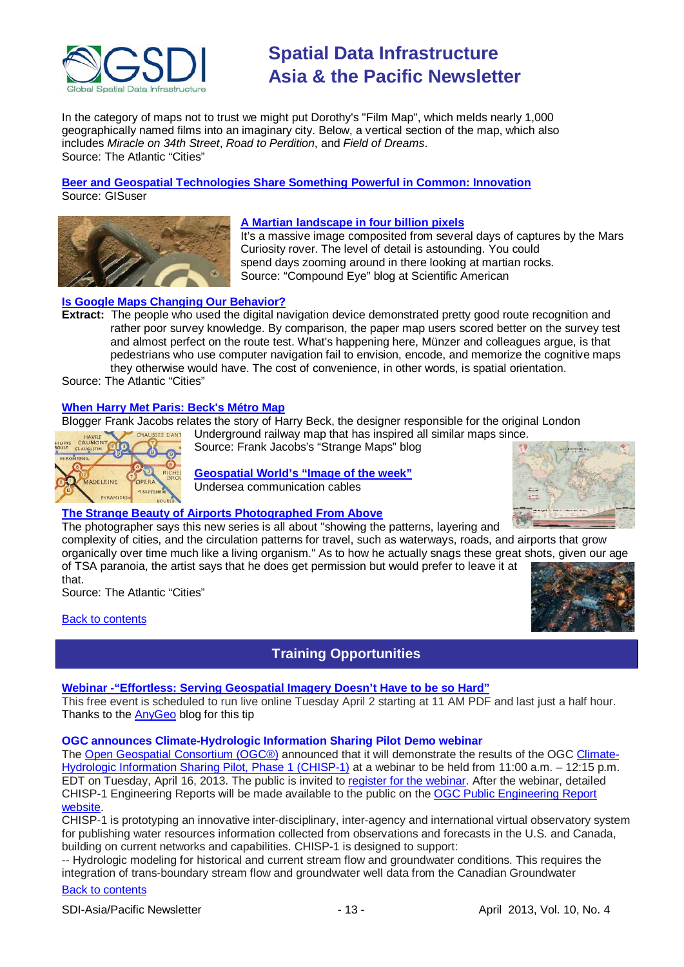

In the category of maps not to trust we might put Dorothy's "Film Map", which melds nearly 1,000 geographically named films into an imaginary city. Below, a vertical section of the map, which also includes *Miracle on 34th Street*, *Road to Perdition*, and *Field of Dreams*. Source: The Atlantic "Cities"

**[Beer and Geospatial Technologies Share Something Powerful in Common: Innovation](http://www.gisuser.com/content/view/29334/2/)** Source: GISuser



#### **[A Martian landscape in four billion pixels](http://blogs.scientificamerican.com/compound-eye/2013/03/29/a-martian-landscape-in-four-billion-pixels/?WT_mc_id=SA_CAT_SPCPHYS_20130329)**

It's a massive image composited from several days of captures by the Mars Curiosity rover. The level of detail is astounding. You could spend days zooming around in there looking at martian rocks. Source: "Compound Eye" blog at Scientific American

#### **[Is Google Maps Changing Our Behavior?](http://www.theatlanticcities.com/arts-and-lifestyle/2013/03/how-google-maps-changes-pedestrian-behavior/5134/)**

**Extract:** The people who used the digital navigation device demonstrated pretty good route recognition and rather poor survey knowledge. By comparison, the paper map users scored better on the survey test and almost perfect on the route test. What's happening here, Münzer and colleagues argue, is that pedestrians who use computer navigation fail to envision, encode, and memorize the cognitive maps they otherwise would have. The cost of convenience, in other words, is spatial orientation.

Source: The Atlantic "Cities"

#### **[When Harry Met Paris: Beck's Métro Map](http://bigthink.com/strange-maps/603-when-harry-met-paris-becks-metro-map)**

Blogger Frank Jacobs relates the story of Harry Beck, the designer responsible for the original London

Underground railway map that has inspired all similar maps since. Source: Frank Jacobs's "Strange Maps" blog



**[Geospatial World's "Image of the week"](http://www.geospatialworld.net/ImageoftheWeek/view.aspx?id=122)** Undersea communication cables

#### **The Strange Beauty of Airports Photographed From Above**

The photographer says this new series is all about "showing the patterns, layering and

complexity of cities, and the circulation patterns for travel, such as waterways, roads, and airports that grow organically over time much like a living organism." As to how he actually snags these great shots, given our age of TSA paranoia, the artist says that he does get permission but would prefer to leave it at

that. Source: The Atlantic "Cities"

<span id="page-12-0"></span>[Back to contents](#page-0-0)



## **Training Opportunities**

#### **[Webinar -"Effortless: Serving Geospatial Imagery Doesn't Have to be so Hard"](http://www.lizardtech.com/news/events/webinar/effortless-serving-geospatial-imagery-doesnt-have-to-be-so-hard/)**

This free event is scheduled to run live online Tuesday April 2 starting at 11 AM PDF and last just a half hour. Thanks to the [AnyGeo](http://blog.gisuser.com/) blog for this tip

#### **OGC announces Climate-Hydrologic Information Sharing Pilot Demo webinar**

The [Open Geospatial Consortium \(OGC®\)](http://www.opengeospatial.org/) announced that it will demonstrate the results of the OGC [Climate-](http://www.opengeospatial.org/projects/initiatives/chisp-1)[Hydrologic Information Sharing Pilot, Phase 1 \(CHISP-1\)](http://www.opengeospatial.org/projects/initiatives/chisp-1) at a webinar to be held from 11:00 a.m. – 12:15 p.m. EDT on Tuesday, April 16, 2013. The public is invited to [register for the webinar.](https://www2.gotomeeting.com/register/517969410) After the webinar, detailed CHISP-1 Engineering Reports will be made available to the public on the [OGC Public Engineering Report](http://www.opengeospatial.org/standards/per)  [website.](http://www.opengeospatial.org/standards/per)

CHISP-1 is prototyping an innovative inter-disciplinary, inter-agency and international virtual observatory system for publishing water resources information collected from observations and forecasts in the U.S. and Canada, building on current networks and capabilities. CHISP-1 is designed to support:

-- Hydrologic modeling for historical and current stream flow and groundwater conditions. This requires the integration of trans-boundary stream flow and groundwater well data from the Canadian Groundwater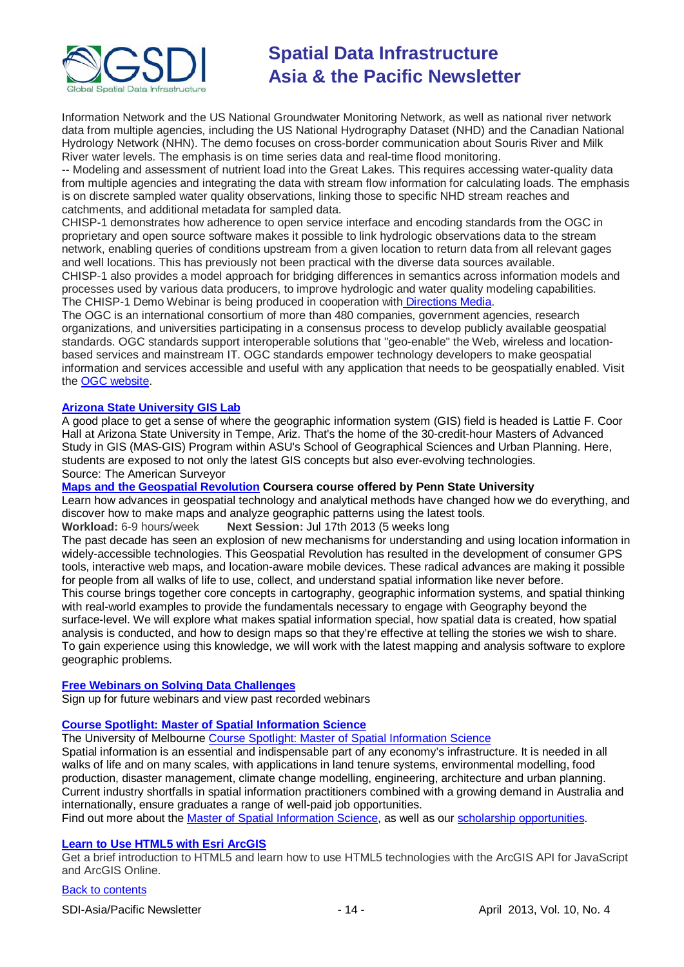

Information Network and the US National Groundwater Monitoring Network, as well as national river network data from multiple agencies, including the US National Hydrography Dataset (NHD) and the Canadian National Hydrology Network (NHN). The demo focuses on cross-border communication about Souris River and Milk River water levels. The emphasis is on time series data and real-time flood monitoring.

-- Modeling and assessment of nutrient load into the Great Lakes. This requires accessing water-quality data from multiple agencies and integrating the data with stream flow information for calculating loads. The emphasis is on discrete sampled water quality observations, linking those to specific NHD stream reaches and catchments, and additional metadata for sampled data.

CHISP-1 demonstrates how adherence to open service interface and encoding standards from the OGC in proprietary and open source software makes it possible to link hydrologic observations data to the stream network, enabling queries of conditions upstream from a given location to return data from all relevant gages and well locations. This has previously not been practical with the diverse data sources available. CHISP-1 also provides a model approach for bridging differences in semantics across information models and processes used by various data producers, to improve hydrologic and water quality modeling capabilities. The CHISP-1 Demo Webinar is being produced in cooperation with [Directions Media.](http://www.directionsmedia.net/)

The OGC is an international consortium of more than 480 companies, government agencies, research organizations, and universities participating in a consensus process to develop publicly available geospatial standards. OGC standards support interoperable solutions that "geo-enable" the Web, wireless and locationbased services and mainstream IT. OGC standards empower technology developers to make geospatial information and services accessible and useful with any application that needs to be geospatially enabled. Visit the [OGC website.](http://www.opengeospatial.org/contact)

#### **[Arizona State University GIS Lab](http://www.amerisurv.com/content/view/11050/153/)**

A good place to get a sense of where the geographic information system (GIS) field is headed is Lattie F. Coor Hall at Arizona State University in Tempe, Ariz. That's the home of the 30-credit-hour Masters of Advanced Study in GIS (MAS-GIS) Program within ASU's School of Geographical Sciences and Urban Planning. Here, students are exposed to not only the latest GIS concepts but also ever-evolving technologies. Source: The American Surveyor

#### **[Maps and the Geospatial Revolution](https://www.coursera.org/course/maps) Coursera course offered by Penn State University**

Learn how advances in geospatial technology and analytical methods have changed how we do everything, and discover how to make maps and analyze geographic patterns using the latest tools.

### **Workload:** 6-9 hours/week **Next Session:** Jul 17th 2013 (5 weeks long

The past decade has seen an explosion of new mechanisms for understanding and using location information in widely-accessible technologies. This Geospatial Revolution has resulted in the development of consumer GPS tools, interactive web maps, and location-aware mobile devices. These radical advances are making it possible for people from all walks of life to use, collect, and understand spatial information like never before.

This course brings together core concepts in cartography, geographic information systems, and spatial thinking with real-world examples to provide the fundamentals necessary to engage with Geography beyond the surface-level. We will explore what makes spatial information special, how spatial data is created, how spatial analysis is conducted, and how to design maps so that they're effective at telling the stories we wish to share. To gain experience using this knowledge, we will work with the latest mapping and analysis software to explore geographic problems.

#### **[Free Webinars on Solving Data Challenges](http://www.safe.com/learning/webinars/)**

Sign up for future webinars and view past recorded webinars

### **[Course Spotlight: Master of Spatial Information Science](http://themelbourneengineer.eng.unimelb.edu.au/2012/02/course-spotlight-master-of-spatial-information-science/)**

The University of Melbourne [Course Spotlight: Master of Spatial Information Science](http://themelbourneengineer.eng.unimelb.edu.au/2012/02/course-spotlight-master-of-spatial-information-science/)

Spatial information is an essential and indispensable part of any economy's infrastructure. It is needed in all walks of life and on many scales, with applications in land tenure systems, environmental modelling, food production, disaster management, climate change modelling, engineering, architecture and urban planning. Current industry shortfalls in spatial information practitioners combined with a growing demand in Australia and internationally, ensure graduates a range of well-paid job opportunities.

Find out more about the [Master of Spatial Information Science,](http://www.msi.unimelb.edu.au/study/graduate/master-of-spatial-information-science/) as well as our [scholarship opportunities.](http://www.eng.unimelb.edu.au/study/graduate/scholarships.html)

#### **[Learn to Use HTML5 with Esri ArcGIS](http://www.gisuser.com/content/view/25915/2/)**

Get a brief introduction to HTML5 and learn how to use HTML5 technologies with the ArcGIS API for JavaScript and ArcGIS Online.

#### [Back to contents](#page-0-0)

SDI-Asia/Pacific Newsletter - 14 - April 2013, Vol. 10, No. 4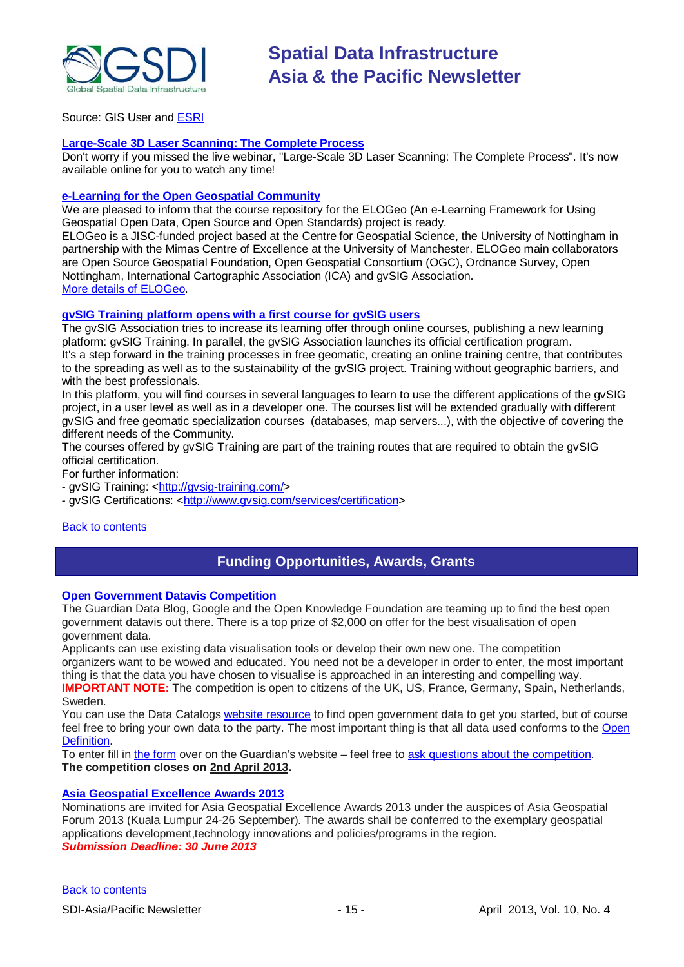

Source: GIS User and [ESRI](http://training.esri.com/Gateway/index.cfm?fa=seminars.gateway)

#### **[Large-Scale 3D Laser Scanning: The Complete Process](http://www.faro.com/site/resources/details/1373?CampaignId=70170000000bbwr)**

Don't worry if you missed the live webinar, "Large-Scale 3D Laser Scanning: The Complete Process". It's now available online for you to watch any time!

#### **[e-Learning for the Open Geospatial Community](http://elogeo.nottingham.ac.uk/xmlui)**

We are pleased to inform that the course repository for the ELOGeo (An e-Learning Framework for Using Geospatial Open Data, Open Source and Open Standards) project is ready.

ELOGeo is a JISC-funded project based at the Centre for Geospatial Science, the University of Nottingham in partnership with the Mimas Centre of Excellence at the University of Manchester. ELOGeo main collaborators are Open Source Geospatial Foundation, Open Geospatial Consortium (OGC), Ordnance Survey, Open Nottingham, International Cartographic Association (ICA) and gvSIG Association. [More details of ELOGeo.](http://elogeo.nottingham.ac.uk/index.html)

#### **gvSIG Training platform opens with a first course for gvSIG users**

The gvSIG Association tries to increase its learning offer through online courses, publishing a new learning platform: gvSIG Training. In parallel, the gvSIG Association launches its official certification program. It's a step forward in the training processes in free geomatic, creating an online training centre, that contributes to the spreading as well as to the sustainability of the gvSIG project. Training without geographic barriers, and with the best professionals.

In this platform, you will find courses in several languages to learn to use the different applications of the gvSIG project, in a user level as well as in a developer one. The courses list will be extended gradually with different gvSIG and free geomatic specialization courses (databases, map servers...), with the objective of covering the different needs of the Community.

The courses offered by gvSIG Training are part of the training routes that are required to obtain the gvSIG official certification.

For further information:

- gvSIG Training: [<http://gvsig-training.com/>](http://gvsig-training.com/)

- gvSIG Certifications: [<http://www.gvsig.com/services/certification>](http://www.gvsig.com/services/certification)

#### <span id="page-14-0"></span>**[Back to contents](#page-0-0)**

## **Funding Opportunities, Awards, Grants**

#### **[Open Government Datavis Competition](http://www.transparency-initiative.org/news/guardian-data-blog-google-and-the-open-knowledge-foundation-launch-the-open-government-datavis-competition)**

The Guardian Data Blog, Google and the Open Knowledge Foundation are teaming up to find the best open government datavis out there. There is a top prize of \$2,000 on offer for the best visualisation of open government data.

Applicants can use existing data visualisation tools or develop their own new one. The competition organizers want to be wowed and educated. You need not be a developer in order to enter, the most important thing is that the data you have chosen to visualise is approached in an interesting and compelling way.

**IMPORTANT NOTE:** The competition is open to citizens of the UK, US, France, Germany, Spain, Netherlands, Sweden.

You can use the Data Catalogs [website resource](http://datacatalogs.org/) to find open government data to get you started, but of course feel free to bring your own data to the party. The most important thing is that all data used conforms to the [Open](http://opendefinition.org/)  [Definition.](http://opendefinition.org/)

To enter fill i[n the form](http://www.guardian.co.uk/news/2013/feb/12/government-data-free-our-data#form) over on the Guardian's website – feel free to [ask questions about the competition.](mailto:datavisualisation@guardian.co.uk) **The competition closes on 2nd April 2013.**

### **[Asia Geospatial Excellence Awards 2013](http://www.asiageospatialforum.org/2013/nomination.htm)**

Nominations are invited for Asia Geospatial Excellence Awards 2013 under the auspices of Asia Geospatial Forum 2013 (Kuala Lumpur 24-26 September). The awards shall be conferred to the exemplary geospatial applications development,technology innovations and policies/programs in the region. *Submission Deadline: 30 June 2013*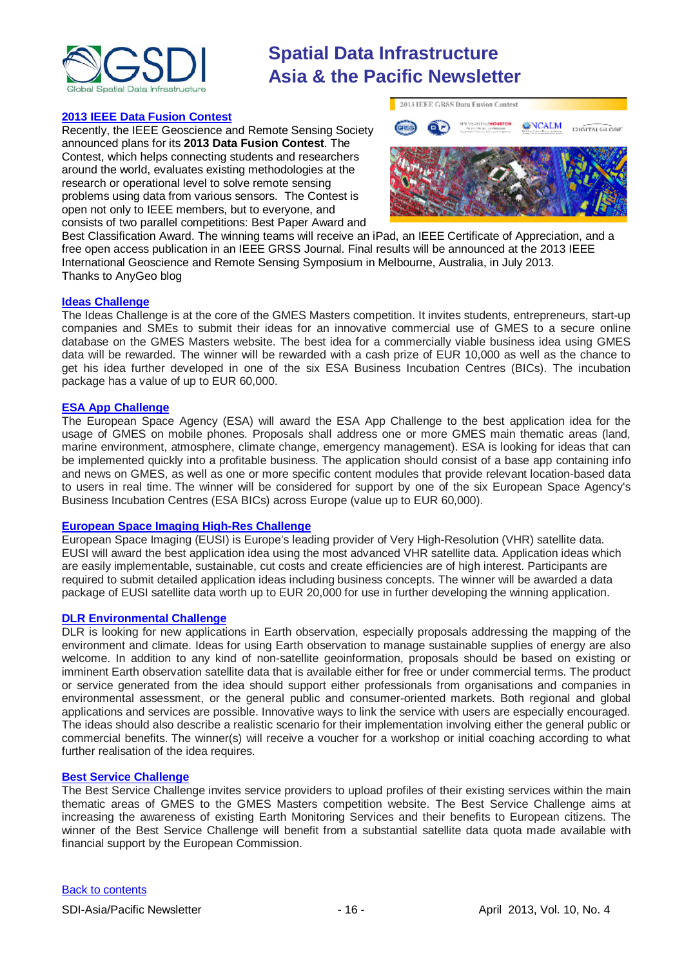

#### **[2013 IEEE Data Fusion Contest](http://www.grss-ieee.org/community/technical-committees/data-fusion/data-fusion-contest/)**

Recently, the IEEE Geoscience and Remote Sensing Society announced plans for its **2013 Data Fusion Contest**. The Contest, which helps connecting students and researchers around the world, evaluates existing methodologies at the research or operational level to solve remote sensing problems using data from various sensors. The Contest is open not only to IEEE members, but to everyone, and consists of two parallel competitions: Best Paper Award and



Best Classification Award. The winning teams will receive an iPad, an IEEE Certificate of Appreciation, and a free open access publication in an IEEE GRSS Journal. Final results will be announced at the 2013 IEEE International Geoscience and Remote Sensing Symposium in Melbourne, Australia, in July 2013. Thanks to AnyGeo blog

#### **[Ideas Challenge](http://www.gmes-masters.com/ideas-challenge)**

The Ideas Challenge is at the core of the GMES Masters competition. It invites students, entrepreneurs, start-up companies and SMEs to submit their ideas for an innovative commercial use of GMES to a secure online database on the GMES Masters website. The best idea for a commercially viable business idea using GMES data will be rewarded. The winner will be rewarded with a cash prize of EUR 10,000 as well as the chance to get his idea further developed in one of the six ESA Business Incubation Centres (BICs). The incubation package has a value of up to EUR 60,000.

#### **[ESA App Challenge](http://www.gmes-masters.com/esa-app-challenge)**

The European Space Agency (ESA) will award the ESA App Challenge to the best application idea for the usage of GMES on mobile phones. Proposals shall address one or more GMES main thematic areas (land, marine environment, atmosphere, climate change, emergency management). ESA is looking for ideas that can be implemented quickly into a profitable business. The application should consist of a base app containing info and news on GMES, as well as one or more specific content modules that provide relevant location-based data to users in real time. The winner will be considered for support by one of the six European Space Agency's Business Incubation Centres (ESA BICs) across Europe (value up to EUR 60,000).

#### **[European Space Imaging High-Res Challenge](http://www.gmes-masters.com/european-space-0)**

European Space Imaging (EUSI) is Europe's leading provider of Very High-Resolution (VHR) satellite data. EUSI will award the best application idea using the most advanced VHR satellite data. Application ideas which are easily implementable, sustainable, cut costs and create efficiencies are of high interest. Participants are required to submit detailed application ideas including business concepts. The winner will be awarded a data package of EUSI satellite data worth up to EUR 20,000 for use in further developing the winning application.

#### **[DLR Environmental Challenge](http://www.gmes-masters.com/dlr-environmental)**

DLR is looking for new applications in Earth observation, especially proposals addressing the mapping of the environment and climate. Ideas for using Earth observation to manage sustainable supplies of energy are also welcome. In addition to any kind of non-satellite geoinformation, proposals should be based on existing or imminent Earth observation satellite data that is available either for free or under commercial terms. The product or service generated from the idea should support either professionals from organisations and companies in environmental assessment, or the general public and consumer-oriented markets. Both regional and global applications and services are possible. Innovative ways to link the service with users are especially encouraged. The ideas should also describe a realistic scenario for their implementation involving either the general public or commercial benefits. The winner(s) will receive a voucher for a workshop or initial coaching according to what further realisation of the idea requires.

#### **[Best Service Challenge](http://www.gmes-masters.com/best-service)**

The Best Service Challenge invites service providers to upload profiles of their existing services within the main thematic areas of GMES to the GMES Masters competition website. The Best Service Challenge aims at increasing the awareness of existing Earth Monitoring Services and their benefits to European citizens. The winner of the Best Service Challenge will benefit from a substantial satellite data quota made available with financial support by the European Commission.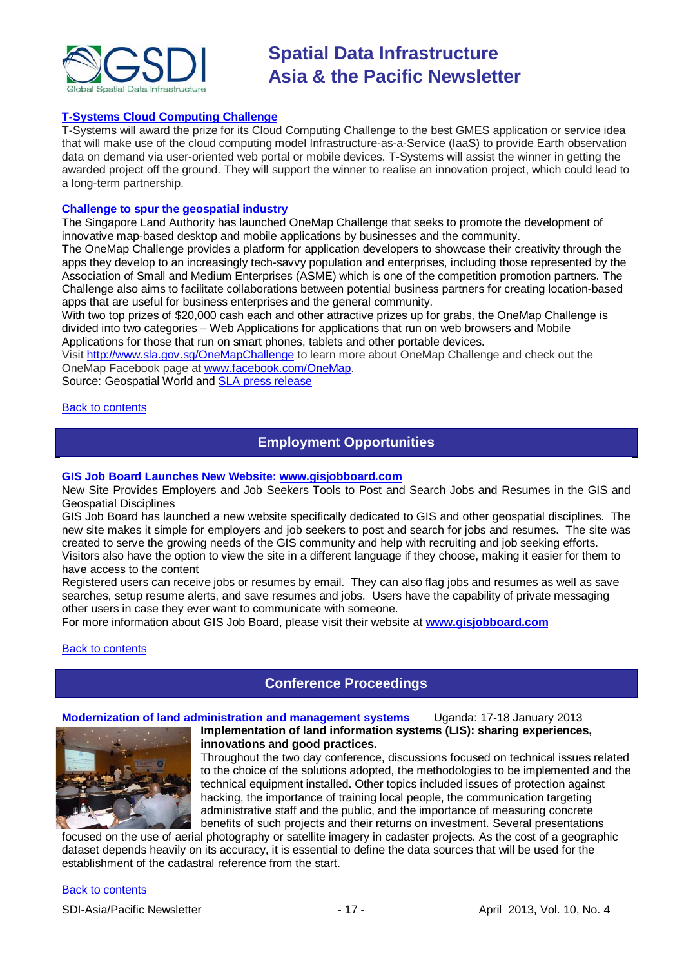

#### **[T-Systems Cloud Computing Challenge](http://www.gmes-masters.com/t-systems-cloud)**

T-Systems will award the prize for its Cloud Computing Challenge to the best GMES application or service idea that will make use of the cloud computing model Infrastructure-as-a-Service (IaaS) to provide Earth observation data on demand via user-oriented web portal or mobile devices. T-Systems will assist the winner in getting the awarded project off the ground. They will support the winner to realise an innovation project, which could lead to a long-term partnership.

#### **[Challenge to spur the geospatial industry](http://geospatialworld.net/index.php?option=com_content&view=article&id=23850:challenge-to-spur-the-geospatial-industry&catid=75:miscellaneous-events)**

The Singapore Land Authority has launched OneMap Challenge that seeks to promote the development of innovative map-based desktop and mobile applications by businesses and the community.

The OneMap Challenge provides a platform for application developers to showcase their creativity through the apps they develop to an increasingly tech-savvy population and enterprises, including those represented by the Association of Small and Medium Enterprises (ASME) which is one of the competition promotion partners. The Challenge also aims to facilitate collaborations between potential business partners for creating location-based apps that are useful for business enterprises and the general community.

With two top prizes of \$20,000 cash each and other attractive prizes up for grabs, the OneMap Challenge is divided into two categories – Web Applications for applications that run on web browsers and Mobile Applications for those that run on smart phones, tablets and other portable devices.

Visit <http://www.sla.gov.sg/OneMapChallenge> to learn more about OneMap Challenge and check out the OneMap Facebook page at [www.facebook.com/OneMap.](http://www.facebook.com/OneMap)

Source: Geospatial World and [SLA press release](http://www.sla.gov.sg/htm/new/new2012/new0401.htm)

#### <span id="page-16-0"></span>[Back to contents](#page-0-0)

### **Employment Opportunities**

#### **GIS Job Board Launches New Website: [www.gisjobboard.com](http://www.gisjobboard.com/)**

New Site Provides Employers and Job Seekers Tools to Post and Search Jobs and Resumes in the GIS and Geospatial Disciplines

GIS Job Board has launched a new website specifically dedicated to GIS and other geospatial disciplines. The new site makes it simple for employers and job seekers to post and search for jobs and resumes. The site was created to serve the growing needs of the GIS community and help with recruiting and job seeking efforts. Visitors also have the option to view the site in a different language if they choose, making it easier for them to have access to the content

Registered users can receive jobs or resumes by email. They can also flag jobs and resumes as well as save searches, setup resume alerts, and save resumes and jobs. Users have the capability of private messaging other users in case they ever want to communicate with someone.

For more information about GIS Job Board, please visit their website at **[www.gisjobboard.com](http://www.gisjobboard.com/)**

<span id="page-16-1"></span>[Back to contents](#page-0-0)

## **Conference Proceedings**

#### **Modernization of land administration and management systems** Uganda: 17-18 January 2013



**Implementation of land information systems (LIS): sharing experiences, innovations and good practices.**

Throughout the two day conference, discussions focused on technical issues related to the choice of the solutions adopted, the methodologies to be implemented and the technical equipment installed. Other topics included issues of protection against hacking, the importance of training local people, the communication targeting administrative staff and the public, and the importance of measuring concrete benefits of such projects and their returns on investment. Several presentations

focused on the use of aerial photography or satellite imagery in cadaster projects. As the cost of a geographic dataset depends heavily on its accuracy, it is essential to define the data sources that will be used for the establishment of the cadastral reference from the start.

#### [Back to contents](#page-0-0)

SDI-Asia/Pacific Newsletter 1992 - 17 - 17 - April 2013, Vol. 10, No. 4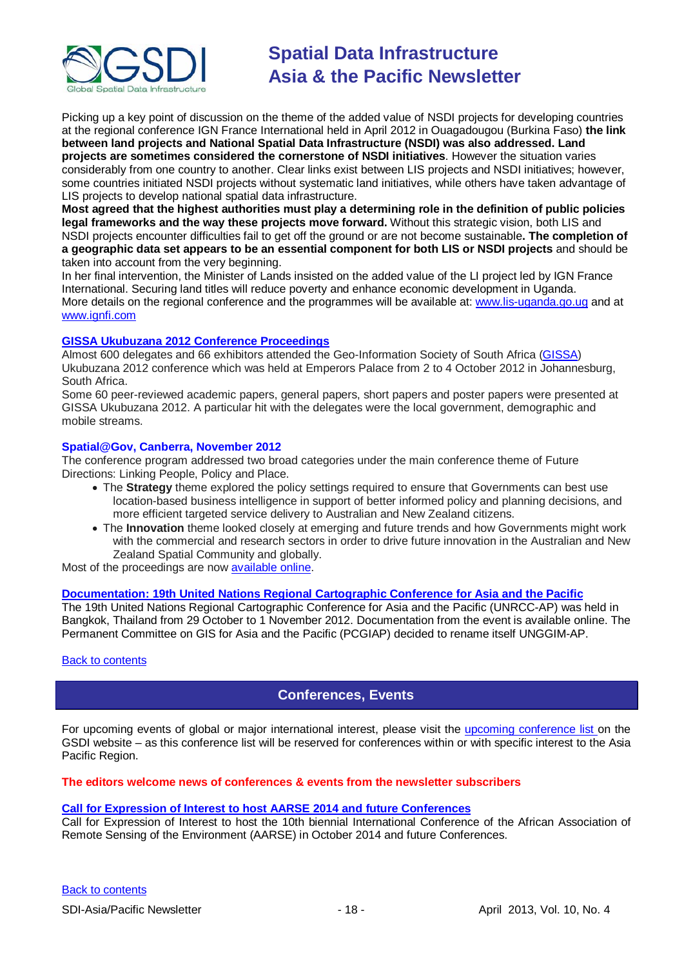

Picking up a key point of discussion on the theme of the added value of NSDI projects for developing countries at the regional conference IGN France International held in April 2012 in Ouagadougou (Burkina Faso) **the link between land projects and National Spatial Data Infrastructure (NSDI) was also addressed. Land projects are sometimes considered the cornerstone of NSDI initiatives**. However the situation varies considerably from one country to another. Clear links exist between LIS projects and NSDI initiatives; however, some countries initiated NSDI projects without systematic land initiatives, while others have taken advantage of LIS projects to develop national spatial data infrastructure.

**Most agreed that the highest authorities must play a determining role in the definition of public policies legal frameworks and the way these projects move forward.** Without this strategic vision, both LIS and NSDI projects encounter difficulties fail to get off the ground or are not become sustainable**. The completion of a geographic data set appears to be an essential component for both LIS or NSDI projects** and should be taken into account from the very beginning.

In her final intervention, the Minister of Lands insisted on the added value of the LI project led by IGN France International. Securing land titles will reduce poverty and enhance economic development in Uganda. More details on the regional conference and the programmes will be available at: [www.lis-uganda.go.ug](http://www.lis-uganda.go.ug/) and at [www.ignfi.com](http://www.ignfi.com/)

#### **[GISSA Ukubuzana 2012 Conference Proceedings](http://www.eepublishers.co.za/article/gissa-ukubuzana-2012-conference-proceedings.html)**

Almost 600 delegates and 66 exhibitors attended the Geo-Information Society of South Africa [\(GISSA\)](http://www.gissa.org.za/) Ukubuzana 2012 conference which was held at Emperors Palace from 2 to 4 October 2012 in Johannesburg, South Africa.

Some 60 peer-reviewed academic papers, general papers, short papers and poster papers were presented at GISSA Ukubuzana 2012. A particular hit with the delegates were the local government, demographic and mobile streams.

#### **Spatial@Gov, Canberra, November 2012**

The conference program addressed two broad categories under the main conference theme of Future Directions: Linking People, Policy and Place.

- The **Strategy** theme explored the policy settings required to ensure that Governments can best use location-based business intelligence in support of better informed policy and planning decisions, and more efficient targeted service delivery to Australian and New Zealand citizens.
- The **Innovation** theme looked closely at emerging and future trends and how Governments might work with the commercial and research sectors in order to drive future innovation in the Australian and New Zealand Spatial Community and globally.

Most of the proceedings are now [available online.](http://spatial.cebit.com.au/program.html)

#### **[Documentation: 19th United Nations Regional Cartographic Conference for Asia and the Pacific](http://unstats.un.org/unsd/geoinfo/RCC/unrccap19.html?)**

The 19th United Nations Regional Cartographic Conference for Asia and the Pacific (UNRCC-AP) was held in Bangkok, Thailand from 29 October to 1 November 2012. Documentation from the event is available online. The Permanent Committee on GIS for Asia and the Pacific (PCGIAP) decided to rename itself UNGGIM-AP.

#### <span id="page-17-0"></span>[Back to contents](#page-0-0)

## **Conferences, Events**

For upcoming events of global or major international interest, please visit the [upcoming conference list o](http://gsdi.org/events/upcnf.asp)n the GSDI website – as this conference list will be reserved for conferences within or with specific interest to the Asia Pacific Region.

#### **The editors welcome news of conferences & events from the newsletter subscribers**

#### **[Call for Expression of Interest to host AARSE 2014 and future Conferences](http://lists.gsdi.org/pipermail/sdi-africa/2010-November/001135.html)**

Call for Expression of Interest to host the 10th biennial International Conference of the African Association of Remote Sensing of the Environment (AARSE) in October 2014 and future Conferences.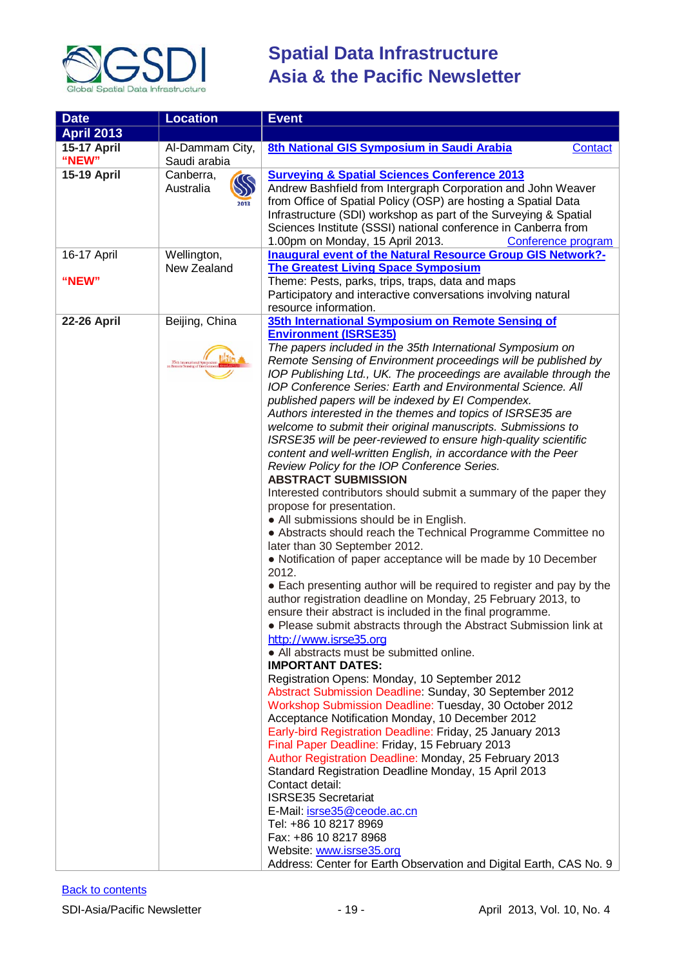

| <b>Date</b>        | <b>Location</b>                | <b>Event</b>                                                                                                                                                                                                                                                                                                                                                                                                                                                                                                                                                                                                                                                                                                                                                                                                                                                                                                                                                                                                                                                                                                                                                                                                                                                                                                                                                                                                                                                                                                                                                                                                                                                                                                                                                                                                                                                                 |
|--------------------|--------------------------------|------------------------------------------------------------------------------------------------------------------------------------------------------------------------------------------------------------------------------------------------------------------------------------------------------------------------------------------------------------------------------------------------------------------------------------------------------------------------------------------------------------------------------------------------------------------------------------------------------------------------------------------------------------------------------------------------------------------------------------------------------------------------------------------------------------------------------------------------------------------------------------------------------------------------------------------------------------------------------------------------------------------------------------------------------------------------------------------------------------------------------------------------------------------------------------------------------------------------------------------------------------------------------------------------------------------------------------------------------------------------------------------------------------------------------------------------------------------------------------------------------------------------------------------------------------------------------------------------------------------------------------------------------------------------------------------------------------------------------------------------------------------------------------------------------------------------------------------------------------------------------|
| <b>April 2013</b>  |                                |                                                                                                                                                                                                                                                                                                                                                                                                                                                                                                                                                                                                                                                                                                                                                                                                                                                                                                                                                                                                                                                                                                                                                                                                                                                                                                                                                                                                                                                                                                                                                                                                                                                                                                                                                                                                                                                                              |
| 15-17 April        | Al-Dammam City,                | 8th National GIS Symposium in Saudi Arabia<br><b>Contact</b>                                                                                                                                                                                                                                                                                                                                                                                                                                                                                                                                                                                                                                                                                                                                                                                                                                                                                                                                                                                                                                                                                                                                                                                                                                                                                                                                                                                                                                                                                                                                                                                                                                                                                                                                                                                                                 |
| "NEW"              | Saudi arabia                   |                                                                                                                                                                                                                                                                                                                                                                                                                                                                                                                                                                                                                                                                                                                                                                                                                                                                                                                                                                                                                                                                                                                                                                                                                                                                                                                                                                                                                                                                                                                                                                                                                                                                                                                                                                                                                                                                              |
| <b>15-19 April</b> | Canberra,<br>Australia<br>2013 | <b>Surveying &amp; Spatial Sciences Conference 2013</b><br>Andrew Bashfield from Intergraph Corporation and John Weaver<br>from Office of Spatial Policy (OSP) are hosting a Spatial Data<br>Infrastructure (SDI) workshop as part of the Surveying & Spatial<br>Sciences Institute (SSSI) national conference in Canberra from<br>1.00pm on Monday, 15 April 2013.<br>Conference program                                                                                                                                                                                                                                                                                                                                                                                                                                                                                                                                                                                                                                                                                                                                                                                                                                                                                                                                                                                                                                                                                                                                                                                                                                                                                                                                                                                                                                                                                    |
| 16-17 April        | Wellington,                    | Inaugural event of the Natural Resource Group GIS Network?-                                                                                                                                                                                                                                                                                                                                                                                                                                                                                                                                                                                                                                                                                                                                                                                                                                                                                                                                                                                                                                                                                                                                                                                                                                                                                                                                                                                                                                                                                                                                                                                                                                                                                                                                                                                                                  |
|                    | New Zealand                    | <b>The Greatest Living Space Symposium</b>                                                                                                                                                                                                                                                                                                                                                                                                                                                                                                                                                                                                                                                                                                                                                                                                                                                                                                                                                                                                                                                                                                                                                                                                                                                                                                                                                                                                                                                                                                                                                                                                                                                                                                                                                                                                                                   |
| "NEW"              |                                | Theme: Pests, parks, trips, traps, data and maps<br>Participatory and interactive conversations involving natural<br>resource information.                                                                                                                                                                                                                                                                                                                                                                                                                                                                                                                                                                                                                                                                                                                                                                                                                                                                                                                                                                                                                                                                                                                                                                                                                                                                                                                                                                                                                                                                                                                                                                                                                                                                                                                                   |
| <b>22-26 April</b> | Beijing, China                 | 35th International Symposium on Remote Sensing of                                                                                                                                                                                                                                                                                                                                                                                                                                                                                                                                                                                                                                                                                                                                                                                                                                                                                                                                                                                                                                                                                                                                                                                                                                                                                                                                                                                                                                                                                                                                                                                                                                                                                                                                                                                                                            |
|                    | 35th International             | <b>Environment (ISRSE35)</b><br>The papers included in the 35th International Symposium on<br>Remote Sensing of Environment proceedings will be published by<br>IOP Publishing Ltd., UK. The proceedings are available through the<br><b>IOP Conference Series: Earth and Environmental Science. All</b><br>published papers will be indexed by El Compendex.<br>Authors interested in the themes and topics of ISRSE35 are<br>welcome to submit their original manuscripts. Submissions to<br>ISRSE35 will be peer-reviewed to ensure high-quality scientific<br>content and well-written English, in accordance with the Peer<br>Review Policy for the IOP Conference Series.<br><b>ABSTRACT SUBMISSION</b><br>Interested contributors should submit a summary of the paper they<br>propose for presentation.<br>• All submissions should be in English.<br>• Abstracts should reach the Technical Programme Committee no<br>later than 30 September 2012.<br>• Notification of paper acceptance will be made by 10 December<br>2012.<br>• Each presenting author will be required to register and pay by the<br>author registration deadline on Monday, 25 February 2013, to<br>ensure their abstract is included in the final programme.<br>Please submit abstracts through the Abstract Submission link at<br>http://www.isrse35.org<br>• All abstracts must be submitted online.<br><b>IMPORTANT DATES:</b><br>Registration Opens: Monday, 10 September 2012<br>Abstract Submission Deadline: Sunday, 30 September 2012<br>Workshop Submission Deadline: Tuesday, 30 October 2012<br>Acceptance Notification Monday, 10 December 2012<br>Early-bird Registration Deadline: Friday, 25 January 2013<br>Final Paper Deadline: Friday, 15 February 2013<br>Author Registration Deadline: Monday, 25 February 2013<br>Standard Registration Deadline Monday, 15 April 2013 |
|                    |                                | Contact detail:<br><b>ISRSE35 Secretariat</b><br>E-Mail: isrse35@ceode.ac.cn<br>Tel: +86 10 8217 8969<br>Fax: +86 10 8217 8968<br>Website: www.isrse35.org<br>Address: Center for Earth Observation and Digital Earth, CAS No. 9                                                                                                                                                                                                                                                                                                                                                                                                                                                                                                                                                                                                                                                                                                                                                                                                                                                                                                                                                                                                                                                                                                                                                                                                                                                                                                                                                                                                                                                                                                                                                                                                                                             |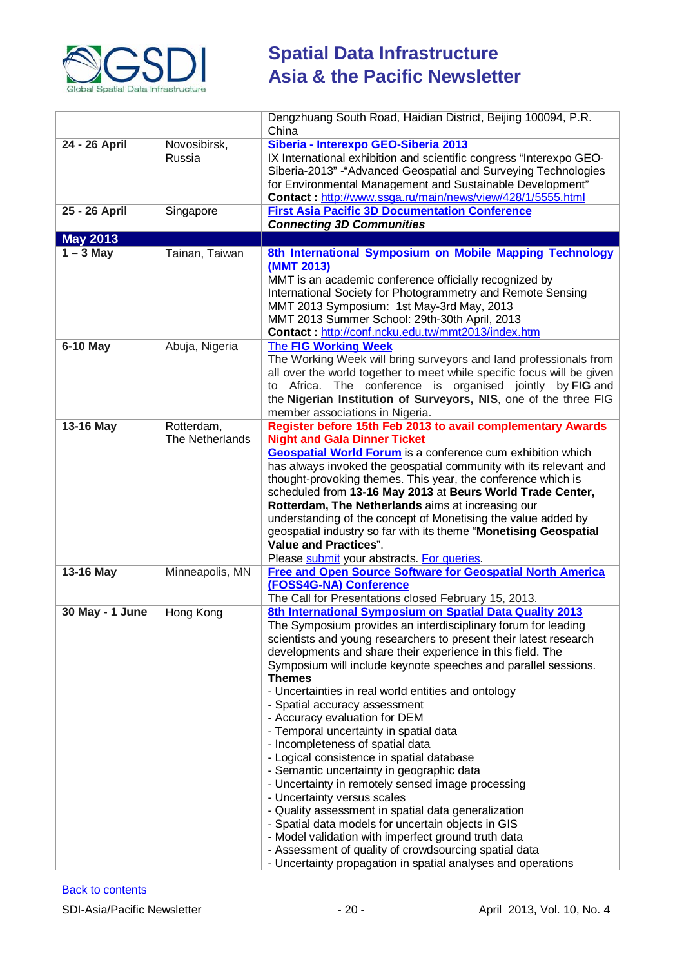

| Dengzhuang South Road, Haidian District, Beijing 100094, P.R.                                                                     |
|-----------------------------------------------------------------------------------------------------------------------------------|
|                                                                                                                                   |
| IX International exhibition and scientific congress "Interexpo GEO-                                                               |
| Siberia-2013" - "Advanced Geospatial and Surveying Technologies                                                                   |
| for Environmental Management and Sustainable Development"                                                                         |
| Contact: http://www.ssga.ru/main/news/view/428/1/5555.html                                                                        |
|                                                                                                                                   |
|                                                                                                                                   |
|                                                                                                                                   |
| 8th International Symposium on Mobile Mapping Technology                                                                          |
|                                                                                                                                   |
|                                                                                                                                   |
| International Society for Photogrammetry and Remote Sensing                                                                       |
|                                                                                                                                   |
|                                                                                                                                   |
|                                                                                                                                   |
| The Working Week will bring surveyors and land professionals from                                                                 |
| all over the world together to meet while specific focus will be given                                                            |
| Africa. The conference is organised jointly by FIG and                                                                            |
| the Nigerian Institution of Surveyors, NIS, one of the three FIG                                                                  |
|                                                                                                                                   |
| Register before 15th Feb 2013 to avail complementary Awards                                                                       |
|                                                                                                                                   |
| <b>Geospatial World Forum</b> is a conference cum exhibition which                                                                |
| has always invoked the geospatial community with its relevant and<br>thought-provoking themes. This year, the conference which is |
| scheduled from 13-16 May 2013 at Beurs World Trade Center,                                                                        |
|                                                                                                                                   |
| understanding of the concept of Monetising the value added by                                                                     |
| geospatial industry so far with its theme "Monetising Geospatial                                                                  |
|                                                                                                                                   |
|                                                                                                                                   |
| Free and Open Source Software for Geospatial North America                                                                        |
|                                                                                                                                   |
|                                                                                                                                   |
|                                                                                                                                   |
| 8th International Symposium on Spatial Data Quality 2013                                                                          |
| The Symposium provides an interdisciplinary forum for leading                                                                     |
| scientists and young researchers to present their latest research                                                                 |
| Symposium will include keynote speeches and parallel sessions.                                                                    |
|                                                                                                                                   |
|                                                                                                                                   |
|                                                                                                                                   |
|                                                                                                                                   |
|                                                                                                                                   |
|                                                                                                                                   |
|                                                                                                                                   |
|                                                                                                                                   |
|                                                                                                                                   |
|                                                                                                                                   |
|                                                                                                                                   |
|                                                                                                                                   |
|                                                                                                                                   |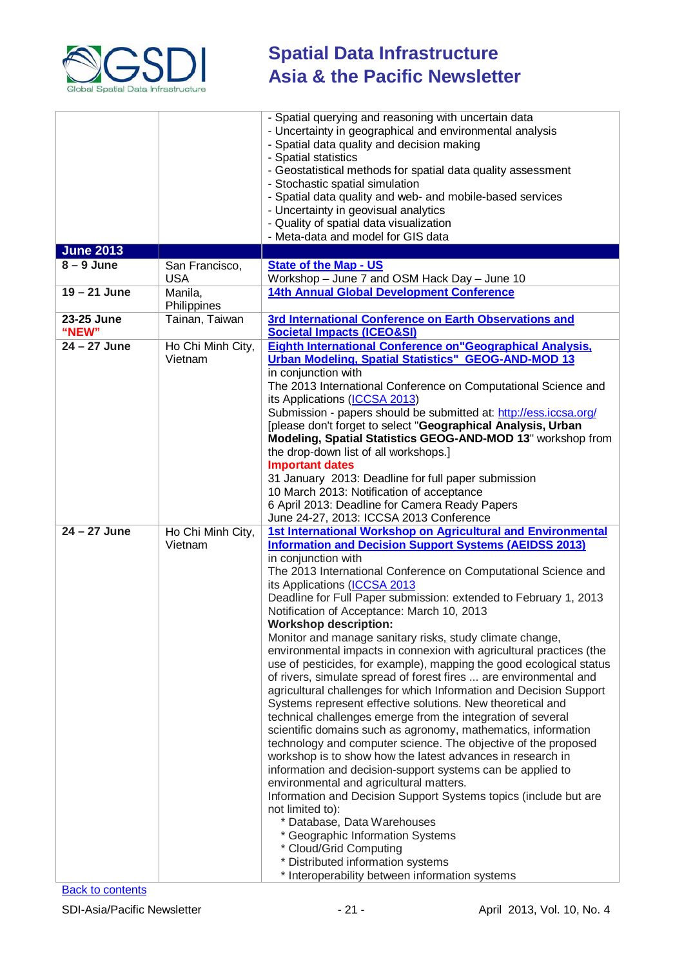

| <b>June 2013</b>    |                              | - Spatial querying and reasoning with uncertain data<br>- Uncertainty in geographical and environmental analysis<br>- Spatial data quality and decision making<br>- Spatial statistics<br>- Geostatistical methods for spatial data quality assessment<br>- Stochastic spatial simulation<br>- Spatial data quality and web- and mobile-based services<br>- Uncertainty in geovisual analytics<br>- Quality of spatial data visualization<br>- Meta-data and model for GIS data                                                                                                                                                                                                                                                                                                                                                                                                                                                                                                                                                                                                                                                                                                                                                                                                                                                                                                                                                                                                  |
|---------------------|------------------------------|----------------------------------------------------------------------------------------------------------------------------------------------------------------------------------------------------------------------------------------------------------------------------------------------------------------------------------------------------------------------------------------------------------------------------------------------------------------------------------------------------------------------------------------------------------------------------------------------------------------------------------------------------------------------------------------------------------------------------------------------------------------------------------------------------------------------------------------------------------------------------------------------------------------------------------------------------------------------------------------------------------------------------------------------------------------------------------------------------------------------------------------------------------------------------------------------------------------------------------------------------------------------------------------------------------------------------------------------------------------------------------------------------------------------------------------------------------------------------------|
| $8 - 9$ June        | San Francisco,               | <b>State of the Map - US</b>                                                                                                                                                                                                                                                                                                                                                                                                                                                                                                                                                                                                                                                                                                                                                                                                                                                                                                                                                                                                                                                                                                                                                                                                                                                                                                                                                                                                                                                     |
|                     | <b>USA</b>                   | Workshop - June 7 and OSM Hack Day - June 10                                                                                                                                                                                                                                                                                                                                                                                                                                                                                                                                                                                                                                                                                                                                                                                                                                                                                                                                                                                                                                                                                                                                                                                                                                                                                                                                                                                                                                     |
| $19 - 21$ June      | Manila,<br>Philippines       | 14th Annual Global Development Conference                                                                                                                                                                                                                                                                                                                                                                                                                                                                                                                                                                                                                                                                                                                                                                                                                                                                                                                                                                                                                                                                                                                                                                                                                                                                                                                                                                                                                                        |
| 23-25 June<br>"NEW" | Tainan, Taiwan               | 3rd International Conference on Earth Observations and<br><b>Societal Impacts (ICEO&amp;SI)</b>                                                                                                                                                                                                                                                                                                                                                                                                                                                                                                                                                                                                                                                                                                                                                                                                                                                                                                                                                                                                                                                                                                                                                                                                                                                                                                                                                                                  |
| $24 - 27$ June      | Ho Chi Minh City,<br>Vietnam | <b>Eighth International Conference on "Geographical Analysis,</b><br>Urban Modeling, Spatial Statistics" GEOG-AND-MOD 13<br>in conjunction with<br>The 2013 International Conference on Computational Science and<br>its Applications (ICCSA 2013)<br>Submission - papers should be submitted at: http://ess.iccsa.org/<br>[please don't forget to select "Geographical Analysis, Urban<br>Modeling, Spatial Statistics GEOG-AND-MOD 13" workshop from<br>the drop-down list of all workshops.]<br><b>Important dates</b><br>31 January 2013: Deadline for full paper submission<br>10 March 2013: Notification of acceptance<br>6 April 2013: Deadline for Camera Ready Papers<br>June 24-27, 2013: ICCSA 2013 Conference                                                                                                                                                                                                                                                                                                                                                                                                                                                                                                                                                                                                                                                                                                                                                       |
| $24 - 27$ June      | Ho Chi Minh City,<br>Vietnam | 1st International Workshop on Agricultural and Environmental<br><b>Information and Decision Support Systems (AEIDSS 2013)</b><br>in conjunction with<br>The 2013 International Conference on Computational Science and<br>its Applications (ICCSA 2013<br>Deadline for Full Paper submission: extended to February 1, 2013<br>Notification of Acceptance: March 10, 2013<br><b>Workshop description:</b><br>Monitor and manage sanitary risks, study climate change,<br>environmental impacts in connexion with agricultural practices (the<br>use of pesticides, for example), mapping the good ecological status<br>of rivers, simulate spread of forest fires  are environmental and<br>agricultural challenges for which Information and Decision Support<br>Systems represent effective solutions. New theoretical and<br>technical challenges emerge from the integration of several<br>scientific domains such as agronomy, mathematics, information<br>technology and computer science. The objective of the proposed<br>workshop is to show how the latest advances in research in<br>information and decision-support systems can be applied to<br>environmental and agricultural matters.<br>Information and Decision Support Systems topics (include but are<br>not limited to):<br>* Database, Data Warehouses<br>* Geographic Information Systems<br>* Cloud/Grid Computing<br>* Distributed information systems<br>* Interoperability between information systems |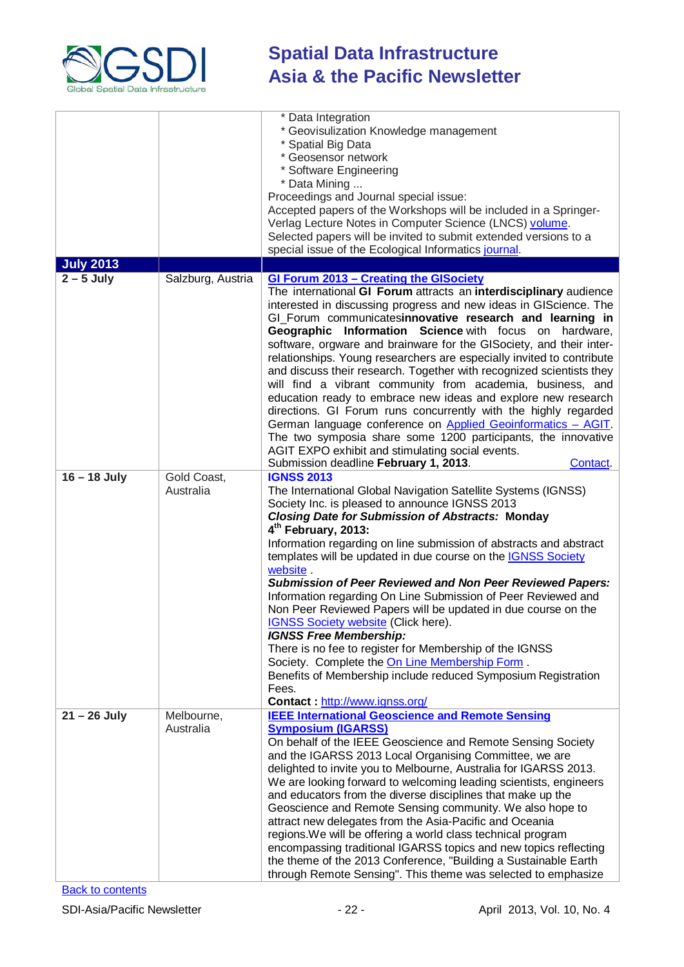

|                  |                          | * Data Integration<br>* Geovisulization Knowledge management<br>* Spatial Big Data<br>* Geosensor network<br>Software Engineering<br>* Data Mining<br>Proceedings and Journal special issue:<br>Accepted papers of the Workshops will be included in a Springer-<br>Verlag Lecture Notes in Computer Science (LNCS) volume.<br>Selected papers will be invited to submit extended versions to a<br>special issue of the Ecological Informatics journal.                                                                                                                                                                                                                                                                                                                                                                                                                                                                                                                    |
|------------------|--------------------------|----------------------------------------------------------------------------------------------------------------------------------------------------------------------------------------------------------------------------------------------------------------------------------------------------------------------------------------------------------------------------------------------------------------------------------------------------------------------------------------------------------------------------------------------------------------------------------------------------------------------------------------------------------------------------------------------------------------------------------------------------------------------------------------------------------------------------------------------------------------------------------------------------------------------------------------------------------------------------|
| <b>July 2013</b> |                          |                                                                                                                                                                                                                                                                                                                                                                                                                                                                                                                                                                                                                                                                                                                                                                                                                                                                                                                                                                            |
| $2 - 5$ July     | Salzburg, Austria        | GI Forum 2013 - Creating the GISociety<br>The international GI Forum attracts an interdisciplinary audience<br>interested in discussing progress and new ideas in GIScience. The<br>GI_Forum communicatesinnovative research and learning in<br>Geographic Information Science with focus on hardware,<br>software, orgware and brainware for the GISociety, and their inter-<br>relationships. Young researchers are especially invited to contribute<br>and discuss their research. Together with recognized scientists they<br>will find a vibrant community from academia, business, and<br>education ready to embrace new ideas and explore new research<br>directions. GI Forum runs concurrently with the highly regarded<br>German language conference on Applied Geoinformatics - AGIT.<br>The two symposia share some 1200 participants, the innovative<br>AGIT EXPO exhibit and stimulating social events.<br>Submission deadline February 1, 2013.<br>Contact. |
| $16 - 18$ July   | Gold Coast,<br>Australia | <b>IGNSS 2013</b><br>The International Global Navigation Satellite Systems (IGNSS)<br>Society Inc. is pleased to announce IGNSS 2013<br><b>Closing Date for Submission of Abstracts: Monday</b><br>4 <sup>th</sup> February, 2013:<br>Information regarding on line submission of abstracts and abstract<br>templates will be updated in due course on the IGNSS Society<br>website.<br><b>Submission of Peer Reviewed and Non Peer Reviewed Papers:</b><br>Information regarding On Line Submission of Peer Reviewed and<br>Non Peer Reviewed Papers will be updated in due course on the<br>IGNSS Society website (Click here).<br><b>IGNSS Free Membership:</b><br>There is no fee to register for Membership of the IGNSS<br>Society. Complete the On Line Membership Form.<br>Benefits of Membership include reduced Symposium Registration<br>Fees.<br>Contact: http://www.ignss.org/                                                                                |
| $21 - 26$ July   | Melbourne,<br>Australia  | <b>IEEE International Geoscience and Remote Sensing</b><br><b>Symposium (IGARSS)</b><br>On behalf of the IEEE Geoscience and Remote Sensing Society<br>and the IGARSS 2013 Local Organising Committee, we are<br>delighted to invite you to Melbourne, Australia for IGARSS 2013.<br>We are looking forward to welcoming leading scientists, engineers<br>and educators from the diverse disciplines that make up the<br>Geoscience and Remote Sensing community. We also hope to<br>attract new delegates from the Asia-Pacific and Oceania<br>regions. We will be offering a world class technical program<br>encompassing traditional IGARSS topics and new topics reflecting<br>the theme of the 2013 Conference, "Building a Sustainable Earth<br>through Remote Sensing". This theme was selected to emphasize                                                                                                                                                       |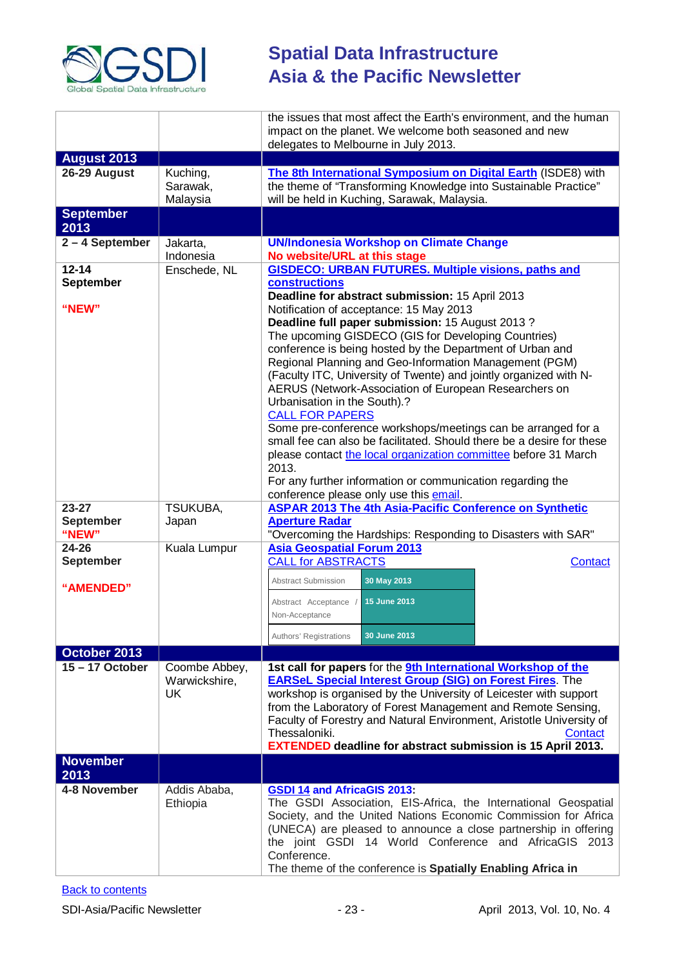

|                                        |                                      | the issues that most affect the Earth's environment, and the human<br>impact on the planet. We welcome both seasoned and new<br>delegates to Melbourne in July 2013.                                                                                                                                                                                                                                                                                                                                                                                                                                                                                                                                                                                |
|----------------------------------------|--------------------------------------|-----------------------------------------------------------------------------------------------------------------------------------------------------------------------------------------------------------------------------------------------------------------------------------------------------------------------------------------------------------------------------------------------------------------------------------------------------------------------------------------------------------------------------------------------------------------------------------------------------------------------------------------------------------------------------------------------------------------------------------------------------|
| <b>August 2013</b>                     |                                      |                                                                                                                                                                                                                                                                                                                                                                                                                                                                                                                                                                                                                                                                                                                                                     |
| 26-29 August                           | Kuching,<br>Sarawak,<br>Malaysia     | The 8th International Symposium on Digital Earth (ISDE8) with<br>the theme of "Transforming Knowledge into Sustainable Practice"<br>will be held in Kuching, Sarawak, Malaysia.                                                                                                                                                                                                                                                                                                                                                                                                                                                                                                                                                                     |
| <b>September</b><br>2013               |                                      |                                                                                                                                                                                                                                                                                                                                                                                                                                                                                                                                                                                                                                                                                                                                                     |
| 2-4 September                          | Jakarta,<br>Indonesia                | <b>UN/Indonesia Workshop on Climate Change</b><br>No website/URL at this stage                                                                                                                                                                                                                                                                                                                                                                                                                                                                                                                                                                                                                                                                      |
| $12 - 14$<br><b>September</b>          | Enschede, NL                         | <b>GISDECO: URBAN FUTURES. Multiple visions, paths and</b><br>constructions<br>Deadline for abstract submission: 15 April 2013                                                                                                                                                                                                                                                                                                                                                                                                                                                                                                                                                                                                                      |
| "NEW"                                  |                                      | Notification of acceptance: 15 May 2013<br>Deadline full paper submission: 15 August 2013?<br>The upcoming GISDECO (GIS for Developing Countries)<br>conference is being hosted by the Department of Urban and<br>Regional Planning and Geo-Information Management (PGM)<br>(Faculty ITC, University of Twente) and jointly organized with N-<br>AERUS (Network-Association of European Researchers on<br>Urbanisation in the South).?<br><b>CALL FOR PAPERS</b><br>Some pre-conference workshops/meetings can be arranged for a<br>small fee can also be facilitated. Should there be a desire for these<br>please contact the local organization committee before 31 March<br>2013.<br>For any further information or communication regarding the |
|                                        |                                      | conference please only use this email.                                                                                                                                                                                                                                                                                                                                                                                                                                                                                                                                                                                                                                                                                                              |
| $23 - 27$<br><b>September</b><br>"NEW" | <b>TSUKUBA,</b><br>Japan             | <b>ASPAR 2013 The 4th Asia-Pacific Conference on Synthetic</b><br><b>Aperture Radar</b><br>"Overcoming the Hardships: Responding to Disasters with SAR"                                                                                                                                                                                                                                                                                                                                                                                                                                                                                                                                                                                             |
| 24-26                                  | Kuala Lumpur                         | <b>Asia Geospatial Forum 2013</b>                                                                                                                                                                                                                                                                                                                                                                                                                                                                                                                                                                                                                                                                                                                   |
| <b>September</b>                       |                                      | <b>CALL for ABSTRACTS</b><br>Contact                                                                                                                                                                                                                                                                                                                                                                                                                                                                                                                                                                                                                                                                                                                |
| "AMENDED"                              |                                      | 30 May 2013<br><b>Abstract Submission</b><br>15 June 2013<br>Abstract Acceptance<br>Non-Acceptance<br>Authors' Registrations<br>30 June 2013                                                                                                                                                                                                                                                                                                                                                                                                                                                                                                                                                                                                        |
| October 2013                           |                                      |                                                                                                                                                                                                                                                                                                                                                                                                                                                                                                                                                                                                                                                                                                                                                     |
| $15 - 17$ October                      | Coombe Abbey,<br>Warwickshire,<br>UK | 1st call for papers for the 9th International Workshop of the<br><b>EARSeL Special Interest Group (SIG) on Forest Fires. The</b><br>workshop is organised by the University of Leicester with support<br>from the Laboratory of Forest Management and Remote Sensing,<br>Faculty of Forestry and Natural Environment, Aristotle University of<br>Thessaloniki.<br>Contact<br><b>EXTENDED</b> deadline for abstract submission is 15 April 2013.                                                                                                                                                                                                                                                                                                     |
| <b>November</b><br>2013                |                                      |                                                                                                                                                                                                                                                                                                                                                                                                                                                                                                                                                                                                                                                                                                                                                     |
| 4-8 November                           | Addis Ababa,<br>Ethiopia             | <b>GSDI 14 and AfricaGIS 2013:</b><br>The GSDI Association, EIS-Africa, the International Geospatial<br>Society, and the United Nations Economic Commission for Africa<br>(UNECA) are pleased to announce a close partnership in offering<br>the joint GSDI 14 World Conference and AfricaGIS 2013<br>Conference.<br>The theme of the conference is Spatially Enabling Africa in                                                                                                                                                                                                                                                                                                                                                                    |